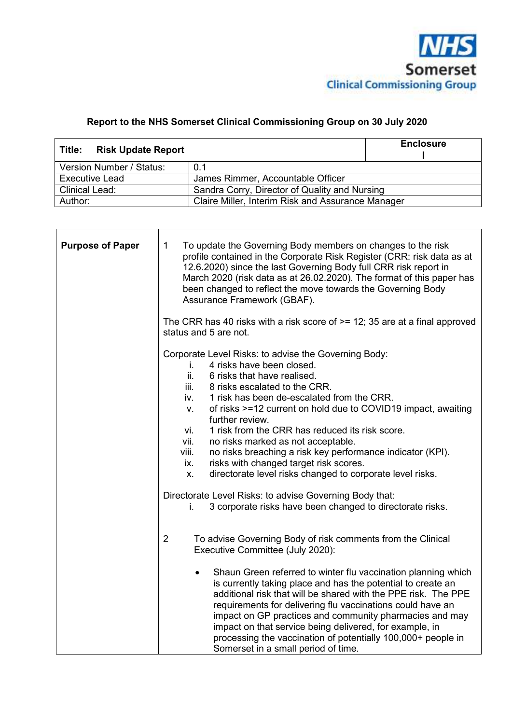

# **Report to the NHS Somerset Clinical Commissioning Group on 30 July 2020**

| <b>Risk Update Report</b><br>Title: |                                                   | <b>Enclosure</b> |  |  |  |  |
|-------------------------------------|---------------------------------------------------|------------------|--|--|--|--|
| Version Number / Status:            | 0.1                                               |                  |  |  |  |  |
| Executive Lead                      | James Rimmer, Accountable Officer                 |                  |  |  |  |  |
| <b>Clinical Lead:</b>               | Sandra Corry, Director of Quality and Nursing     |                  |  |  |  |  |
| Author:                             | Claire Miller, Interim Risk and Assurance Manager |                  |  |  |  |  |

| <b>Purpose of Paper</b> | $\mathbf 1$<br>To update the Governing Body members on changes to the risk<br>profile contained in the Corporate Risk Register (CRR: risk data as at<br>12.6.2020) since the last Governing Body full CRR risk report in<br>March 2020 (risk data as at 26.02.2020). The format of this paper has<br>been changed to reflect the move towards the Governing Body<br>Assurance Framework (GBAF).                                                                                                                                                                                                                                                                                                                                                        |
|-------------------------|--------------------------------------------------------------------------------------------------------------------------------------------------------------------------------------------------------------------------------------------------------------------------------------------------------------------------------------------------------------------------------------------------------------------------------------------------------------------------------------------------------------------------------------------------------------------------------------------------------------------------------------------------------------------------------------------------------------------------------------------------------|
|                         | The CRR has 40 risks with a risk score of $\ge$ = 12; 35 are at a final approved<br>status and 5 are not.                                                                                                                                                                                                                                                                                                                                                                                                                                                                                                                                                                                                                                              |
|                         | Corporate Level Risks: to advise the Governing Body:<br>4 risks have been closed.<br>i.<br>ii.<br>6 risks that have realised.<br>8 risks escalated to the CRR.<br>iii.<br>1 risk has been de-escalated from the CRR.<br>iv.<br>of risks >=12 current on hold due to COVID19 impact, awaiting<br>V.<br>further review.<br>1 risk from the CRR has reduced its risk score.<br>vi.<br>vii.<br>no risks marked as not acceptable.<br>no risks breaching a risk key performance indicator (KPI).<br>viii.<br>risks with changed target risk scores.<br>ix.<br>directorate level risks changed to corporate level risks.<br>Χ.<br>Directorate Level Risks: to advise Governing Body that:<br>3 corporate risks have been changed to directorate risks.<br>İ. |
|                         | $\overline{2}$<br>To advise Governing Body of risk comments from the Clinical<br>Executive Committee (July 2020):                                                                                                                                                                                                                                                                                                                                                                                                                                                                                                                                                                                                                                      |
|                         | Shaun Green referred to winter flu vaccination planning which<br>$\bullet$<br>is currently taking place and has the potential to create an<br>additional risk that will be shared with the PPE risk. The PPE<br>requirements for delivering flu vaccinations could have an<br>impact on GP practices and community pharmacies and may<br>impact on that service being delivered, for example, in<br>processing the vaccination of potentially 100,000+ people in<br>Somerset in a small period of time.                                                                                                                                                                                                                                                |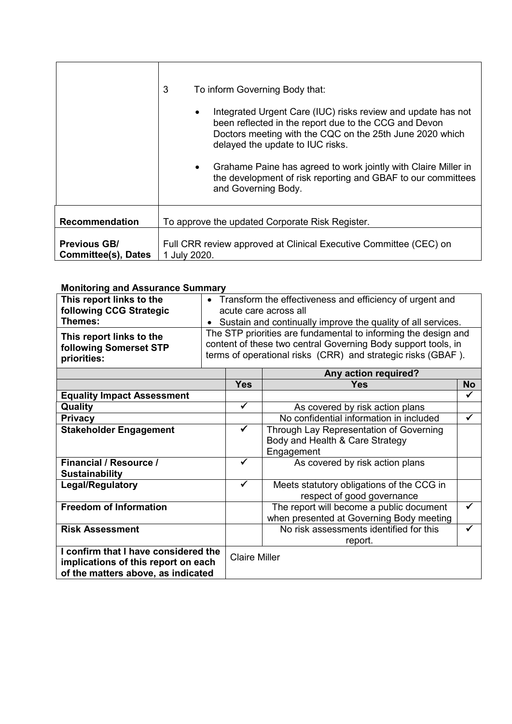|                                                   | 3<br>To inform Governing Body that:<br>Integrated Urgent Care (IUC) risks review and update has not<br>been reflected in the report due to the CCG and Devon<br>Doctors meeting with the CQC on the 25th June 2020 which<br>delayed the update to IUC risks.<br>Grahame Paine has agreed to work jointly with Claire Miller in<br>the development of risk reporting and GBAF to our committees<br>and Governing Body. |  |  |  |  |  |  |  |
|---------------------------------------------------|-----------------------------------------------------------------------------------------------------------------------------------------------------------------------------------------------------------------------------------------------------------------------------------------------------------------------------------------------------------------------------------------------------------------------|--|--|--|--|--|--|--|
| <b>Recommendation</b>                             | To approve the updated Corporate Risk Register.                                                                                                                                                                                                                                                                                                                                                                       |  |  |  |  |  |  |  |
| <b>Previous GB/</b><br><b>Committee(s), Dates</b> | Full CRR review approved at Clinical Executive Committee (CEC) on<br>1 July 2020.                                                                                                                                                                                                                                                                                                                                     |  |  |  |  |  |  |  |

#### **Monitoring and Assurance Summary**

| This report links to the<br>following CCG Strategic<br>Themes:<br>This report links to the<br>following Somerset STP<br>priorities: |                      | • Transform the effectiveness and efficiency of urgent and<br>acute care across all<br>• Sustain and continually improve the quality of all services.<br>The STP priorities are fundamental to informing the design and<br>content of these two central Governing Body support tools, in<br>terms of operational risks (CRR) and strategic risks (GBAF). |              |  |  |  |  |  |  |
|-------------------------------------------------------------------------------------------------------------------------------------|----------------------|----------------------------------------------------------------------------------------------------------------------------------------------------------------------------------------------------------------------------------------------------------------------------------------------------------------------------------------------------------|--------------|--|--|--|--|--|--|
|                                                                                                                                     | <b>Yes</b>           | Any action required?<br><b>Yes</b>                                                                                                                                                                                                                                                                                                                       | <b>No</b>    |  |  |  |  |  |  |
| <b>Equality Impact Assessment</b>                                                                                                   |                      |                                                                                                                                                                                                                                                                                                                                                          | ✓            |  |  |  |  |  |  |
| Quality                                                                                                                             | ✓                    | As covered by risk action plans                                                                                                                                                                                                                                                                                                                          |              |  |  |  |  |  |  |
| <b>Privacy</b>                                                                                                                      |                      | No confidential information in included                                                                                                                                                                                                                                                                                                                  | ✓            |  |  |  |  |  |  |
| <b>Stakeholder Engagement</b>                                                                                                       | ✓                    | Through Lay Representation of Governing<br>Body and Health & Care Strategy<br>Engagement                                                                                                                                                                                                                                                                 |              |  |  |  |  |  |  |
| <b>Financial / Resource /</b><br><b>Sustainability</b>                                                                              | ✓                    | As covered by risk action plans                                                                                                                                                                                                                                                                                                                          |              |  |  |  |  |  |  |
| Legal/Regulatory                                                                                                                    | ✓                    | Meets statutory obligations of the CCG in<br>respect of good governance                                                                                                                                                                                                                                                                                  |              |  |  |  |  |  |  |
| <b>Freedom of Information</b>                                                                                                       |                      | The report will become a public document<br>when presented at Governing Body meeting                                                                                                                                                                                                                                                                     | ✓            |  |  |  |  |  |  |
| <b>Risk Assessment</b>                                                                                                              |                      | No risk assessments identified for this<br>report.                                                                                                                                                                                                                                                                                                       | $\checkmark$ |  |  |  |  |  |  |
| I confirm that I have considered the<br>implications of this report on each<br>of the matters above, as indicated                   | <b>Claire Miller</b> |                                                                                                                                                                                                                                                                                                                                                          |              |  |  |  |  |  |  |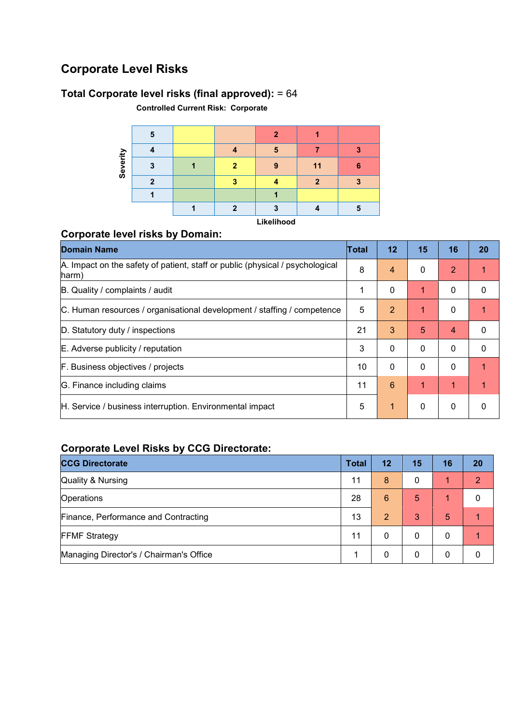# **Corporate Level Risks**

## **Total Corporate level risks (final approved):** = 64

**Controlled Current Risk: Corporate** 

|                       | 5 |   | ≘      |     |        |
|-----------------------|---|---|--------|-----|--------|
|                       |   |   | e<br>п |     |        |
| rerity<br>$rac{1}{2}$ |   | n | о      | 11  | œ<br>о |
|                       | n |   |        | - 1 | .,     |
|                       |   |   |        |     |        |
|                       |   | œ |        |     |        |

**Likelihood** 

### **Corporate level risks by Domain:**

| <b>Domain Name</b>                                                                     | Total | 12             | 15       | 16       | 20          |
|----------------------------------------------------------------------------------------|-------|----------------|----------|----------|-------------|
| A. Impact on the safety of patient, staff or public (physical / psychological<br>harm) | 8     | 4              | 0        | 2        |             |
| B. Quality / complaints / audit                                                        | 1     | 0              | 1        | $\Omega$ | $\Omega$    |
| C. Human resources / organisational development / staffing / competence                | 5     | $\overline{2}$ | 1        | $\Omega$ |             |
| D. Statutory duty / inspections                                                        | 21    | 3              | 5        | 4        | 0           |
| E. Adverse publicity / reputation                                                      | 3     | $\Omega$       | $\Omega$ | $\Omega$ | $\mathbf 0$ |
| F. Business objectives / projects                                                      | 10    | $\Omega$       | 0        | $\Omega$ |             |
| G. Finance including claims                                                            | 11    | 6              | 1        | 1        |             |
| H. Service / business interruption. Environmental impact                               | 5     | 1              | 0        | $\Omega$ | 0           |

## **Corporate Level Risks by CCG Directorate:**

| <b>CCG Directorate</b>                  | <b>Total</b> | 12             | 15 | 16 | 20 |
|-----------------------------------------|--------------|----------------|----|----|----|
| <b>Quality &amp; Nursing</b>            | 11           | 8              | 0  | 1  | 2  |
| Operations                              | 28           | 6              | 5  | 4  | 0  |
| Finance, Performance and Contracting    | 13           | $\overline{2}$ | 3  | 5  |    |
| <b>FFMF Strategy</b>                    | 11           | 0              | 0  | 0  |    |
| Managing Director's / Chairman's Office |              | 0              |    | 0  |    |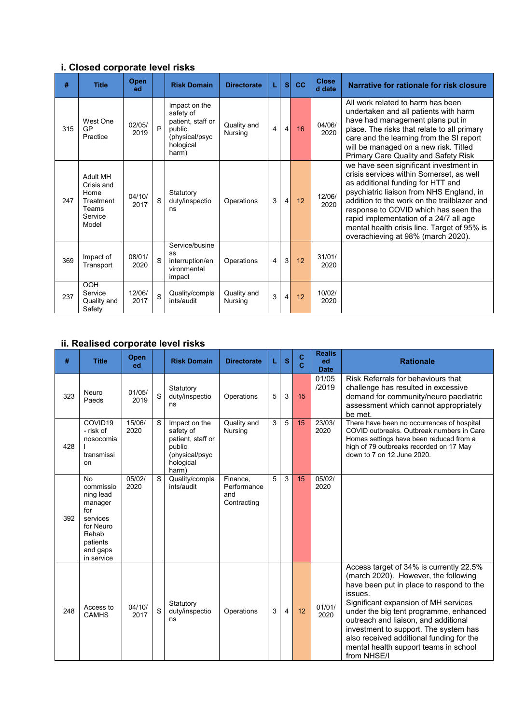## **i. Closed corporate level risks**

| #   | <b>Title</b>                                                             | Open<br>ed     |   | <b>Risk Domain</b>                                                                                | <b>Directorate</b>     | L | s | cc | <b>Close</b><br>d date | Narrative for rationale for risk closure                                                                                                                                                                                                                                                                                                                                                  |
|-----|--------------------------------------------------------------------------|----------------|---|---------------------------------------------------------------------------------------------------|------------------------|---|---|----|------------------------|-------------------------------------------------------------------------------------------------------------------------------------------------------------------------------------------------------------------------------------------------------------------------------------------------------------------------------------------------------------------------------------------|
| 315 | West One<br>GP<br>Practice                                               | 02/05/<br>2019 | P | Impact on the<br>safety of<br>patient, staff or<br>public<br>(physical/psyc<br>hological<br>harm) | Quality and<br>Nursing | 4 | 4 | 16 | 04/06/<br>2020         | All work related to harm has been<br>undertaken and all patients with harm<br>have had management plans put in<br>place. The risks that relate to all primary<br>care and the learning from the SI report<br>will be managed on a new risk. Titled<br>Primary Care Quality and Safety Risk                                                                                                |
| 247 | Adult MH<br>Crisis and<br>Home<br>Treatment<br>Teams<br>Service<br>Model | 04/10/<br>2017 | S | Statutory<br>duty/inspectio<br>ns                                                                 | Operations             | 3 | 4 | 12 | 12/06/<br>2020         | we have seen significant investment in<br>crisis services within Somerset, as well<br>as additional funding for HTT and<br>psychiatric liaison from NHS England, in<br>addition to the work on the trailblazer and<br>response to COVID which has seen the<br>rapid implementation of a 24/7 all age<br>mental health crisis line. Target of 95% is<br>overachieving at 98% (march 2020). |
| 369 | Impact of<br>Transport                                                   | 08/01/<br>2020 | S | Service/busine<br>SS<br>interruption/en<br>vironmental<br>impact                                  | Operations             | 4 | 3 | 12 | 31/01/<br>2020         |                                                                                                                                                                                                                                                                                                                                                                                           |
| 237 | <b>OOH</b><br>Service<br>Quality and<br>Safety                           | 12/06/<br>2017 | S | Quality/compla<br>ints/audit                                                                      | Quality and<br>Nursing | 3 | 4 | 12 | 10/02/<br>2020         |                                                                                                                                                                                                                                                                                                                                                                                           |

## **ii. Realised corporate level risks**

| #   | <b>Title</b>                                                                                                                  | Open<br>ed     |   | <b>Risk Domain</b>                                                                                | <b>Directorate</b>                            |   | S | C<br>$\mathbf{c}$ | <b>Realis</b><br>ed<br><b>Date</b> | <b>Rationale</b>                                                                                                                                                                                                                                                                                                                                                                                              |
|-----|-------------------------------------------------------------------------------------------------------------------------------|----------------|---|---------------------------------------------------------------------------------------------------|-----------------------------------------------|---|---|-------------------|------------------------------------|---------------------------------------------------------------------------------------------------------------------------------------------------------------------------------------------------------------------------------------------------------------------------------------------------------------------------------------------------------------------------------------------------------------|
| 323 | Neuro<br>Paeds                                                                                                                | 01/05/<br>2019 | S | Statutory<br>duty/inspectio<br>ns                                                                 | Operations                                    | 5 | 3 | 15                | 01/05<br>/2019                     | Risk Referrals for behaviours that<br>challenge has resulted in excessive<br>demand for community/neuro paediatric<br>assessment which cannot appropriately<br>be met.                                                                                                                                                                                                                                        |
| 428 | COVID19<br>- risk of<br>nosocomia<br>transmissi<br>on                                                                         | 15/06/<br>2020 | S | Impact on the<br>safety of<br>patient, staff or<br>public<br>(physical/psyc<br>hological<br>harm) | Quality and<br>Nursing                        | 3 | 5 | 15                | 23/03/<br>2020                     | There have been no occurrences of hospital<br>COVID outbreaks. Outbreak numbers in Care<br>Homes settings have been reduced from a<br>high of 79 outbreaks recorded on 17 May<br>down to 7 on 12 June 2020.                                                                                                                                                                                                   |
| 392 | <b>No</b><br>commissio<br>ning lead<br>manager<br>for<br>services<br>for Neuro<br>Rehab<br>patients<br>and gaps<br>in service | 05/02/<br>2020 | S | Quality/compla<br>ints/audit                                                                      | Finance,<br>Performance<br>and<br>Contracting | 5 | 3 | 15                | 05/02/<br>2020                     |                                                                                                                                                                                                                                                                                                                                                                                                               |
| 248 | Access to<br><b>CAMHS</b>                                                                                                     | 04/10/<br>2017 | S | Statutory<br>duty/inspectio<br>ns                                                                 | Operations                                    | 3 | 4 | 12                | 01/01/<br>2020                     | Access target of 34% is currently 22.5%<br>(march 2020). However, the following<br>have been put in place to respond to the<br>issues.<br>Significant expansion of MH services<br>under the big tent programme, enhanced<br>outreach and liaison, and additional<br>investment to support. The system has<br>also received additional funding for the<br>mental health support teams in school<br>from NHSE/I |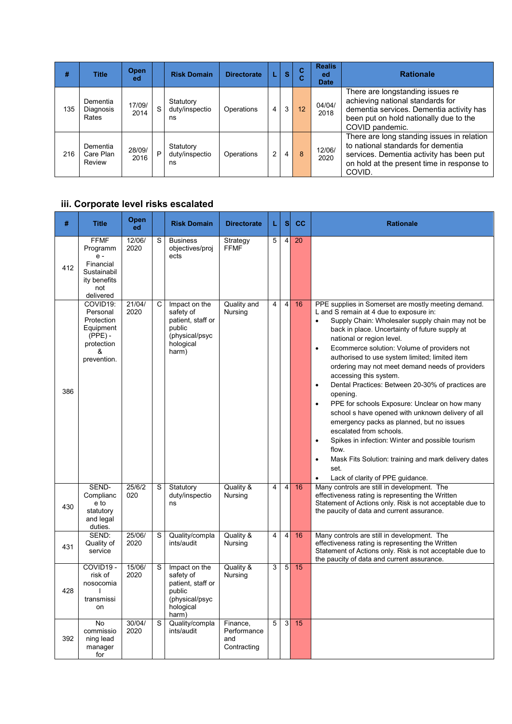| #   | <b>Title</b>                    | <b>Open</b><br>ed |   | <b>Risk Domain</b>                | <b>Directorate</b> |   | S | $\overline{c}$<br>С | <b>Realis</b><br>ed<br><b>Date</b> | <b>Rationale</b>                                                                                                                                                                     |
|-----|---------------------------------|-------------------|---|-----------------------------------|--------------------|---|---|---------------------|------------------------------------|--------------------------------------------------------------------------------------------------------------------------------------------------------------------------------------|
| 135 | Dementia<br>Diagnosis<br>Rates  | 17/09/<br>2014    | S | Statutory<br>duty/inspectio<br>ns | Operations         | 4 | 3 | 12                  | 04/04/<br>2018                     | There are longstanding issues re<br>achieving national standards for<br>dementia services. Dementia activity has<br>been put on hold nationally due to the<br>COVID pandemic.        |
| 216 | Dementia<br>Care Plan<br>Review | 28/09/<br>2016    | P | Statutory<br>duty/inspectio<br>ns | Operations         | 2 | 4 | 8                   | 12/06/<br>2020                     | There are long standing issues in relation<br>to national standards for dementia<br>services. Dementia activity has been put<br>on hold at the present time in response to<br>COVID. |

## **iii. Corporate level risks escalated**

| #   | <b>Title</b>                                                                                     | Open<br>ed     |   | <b>Risk Domain</b>                                                                                | <b>Directorate</b>                            | L                       | <b>S</b>       | cc | <b>Rationale</b>                                                                                                                                                                                                                                                                                                                                                                                                                                                                                                                                                                                                                                                                                                                                                                                                                                                                    |
|-----|--------------------------------------------------------------------------------------------------|----------------|---|---------------------------------------------------------------------------------------------------|-----------------------------------------------|-------------------------|----------------|----|-------------------------------------------------------------------------------------------------------------------------------------------------------------------------------------------------------------------------------------------------------------------------------------------------------------------------------------------------------------------------------------------------------------------------------------------------------------------------------------------------------------------------------------------------------------------------------------------------------------------------------------------------------------------------------------------------------------------------------------------------------------------------------------------------------------------------------------------------------------------------------------|
| 412 | <b>FFMF</b><br>Programm<br>$e -$<br>Financial<br>Sustainabil<br>ity benefits<br>not<br>delivered | 12/06/<br>2020 | S | <b>Business</b><br>objectives/proj<br>ects                                                        | Strategy<br><b>FFMF</b>                       | 5                       | $\overline{4}$ | 20 |                                                                                                                                                                                                                                                                                                                                                                                                                                                                                                                                                                                                                                                                                                                                                                                                                                                                                     |
| 386 | COVID19:<br>Personal<br>Protection<br>Equipment<br>$(PPE) -$<br>protection<br>&<br>prevention.   | 21/04/<br>2020 | С | Impact on the<br>safety of<br>patient, staff or<br>public<br>(physical/psyc<br>hological<br>harm) | Quality and<br>Nursing                        | 4                       | $\overline{4}$ | 16 | PPE supplies in Somerset are mostly meeting demand.<br>L and S remain at 4 due to exposure in:<br>Supply Chain: Wholesaler supply chain may not be<br>$\bullet$<br>back in place. Uncertainty of future supply at<br>national or region level.<br>Ecommerce solution: Volume of providers not<br>$\bullet$<br>authorised to use system limited; limited item<br>ordering may not meet demand needs of providers<br>accessing this system.<br>Dental Practices: Between 20-30% of practices are<br>opening.<br>PPE for schools Exposure: Unclear on how many<br>school s have opened with unknown delivery of all<br>emergency packs as planned, but no issues<br>escalated from schools.<br>Spikes in infection: Winter and possible tourism<br>$\bullet$<br>flow.<br>Mask Fits Solution: training and mark delivery dates<br>$\bullet$<br>set.<br>Lack of clarity of PPE guidance. |
| 430 | SEND-<br>Complianc<br>e to<br>statutory<br>and legal<br>duties.                                  | 25/6/2<br>020  | S | Statutory<br>duty/inspectio<br>ns                                                                 | Quality &<br><b>Nursing</b>                   | $\overline{\mathbf{4}}$ | $\overline{4}$ | 16 | Many controls are still in development. The<br>effectiveness rating is representing the Written<br>Statement of Actions only. Risk is not acceptable due to<br>the paucity of data and current assurance.                                                                                                                                                                                                                                                                                                                                                                                                                                                                                                                                                                                                                                                                           |
| 431 | SEND:<br>Quality of<br>service                                                                   | 25/06/<br>2020 | S | Quality/compla<br>ints/audit                                                                      | Quality &<br>Nursing                          | 4                       | $\overline{4}$ | 16 | Many controls are still in development. The<br>effectiveness rating is representing the Written<br>Statement of Actions only. Risk is not acceptable due to<br>the paucity of data and current assurance.                                                                                                                                                                                                                                                                                                                                                                                                                                                                                                                                                                                                                                                                           |
| 428 | COVID19 -<br>risk of<br>nosocomia<br>transmissi<br>on                                            | 15/06/<br>2020 | S | Impact on the<br>safety of<br>patient, staff or<br>public<br>(physical/psyc<br>hological<br>harm) | Quality &<br>Nursing                          | 3                       | 5              | 15 |                                                                                                                                                                                                                                                                                                                                                                                                                                                                                                                                                                                                                                                                                                                                                                                                                                                                                     |
| 392 | <b>No</b><br>commissio<br>ning lead<br>manager<br>for                                            | 30/04/<br>2020 | S | Quality/compla<br>ints/audit                                                                      | Finance,<br>Performance<br>and<br>Contracting | 5                       | $\overline{3}$ | 15 |                                                                                                                                                                                                                                                                                                                                                                                                                                                                                                                                                                                                                                                                                                                                                                                                                                                                                     |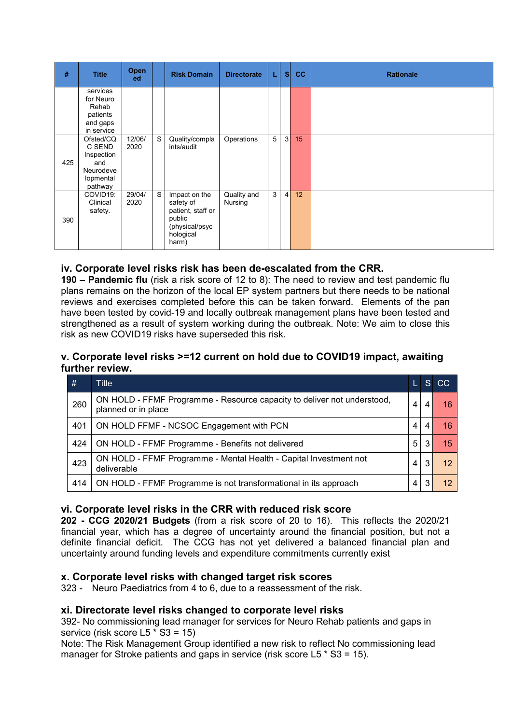| #   | <b>Title</b>                                                                  | <b>Open</b><br>ed |   | <b>Risk Domain</b>                                                                                | <b>Directorate</b>     | L | <sub>S</sub>   | <b>CC</b> | <b>Rationale</b> |
|-----|-------------------------------------------------------------------------------|-------------------|---|---------------------------------------------------------------------------------------------------|------------------------|---|----------------|-----------|------------------|
|     | services<br>for Neuro<br>Rehab<br>patients<br>and gaps<br>in service          |                   |   |                                                                                                   |                        |   |                |           |                  |
| 425 | Ofsted/CQ<br>C SEND<br>Inspection<br>and<br>Neurodeve<br>lopmental<br>pathway | 12/06/<br>2020    | S | Quality/compla<br>ints/audit                                                                      | Operations             | 5 | 3              | 15        |                  |
| 390 | COVID19:<br>Clinical<br>safety.                                               | 29/04/<br>2020    | S | Impact on the<br>safety of<br>patient, staff or<br>public<br>(physical/psyc<br>hological<br>harm) | Quality and<br>Nursing | 3 | $\overline{4}$ | 12        |                  |

#### **iv. Corporate level risks risk has been de-escalated from the CRR.**

**190 – Pandemic flu** (risk a risk score of 12 to 8): The need to review and test pandemic flu plans remains on the horizon of the local EP system partners but there needs to be national reviews and exercises completed before this can be taken forward. Elements of the pan have been tested by covid-19 and locally outbreak management plans have been tested and strengthened as a result of system working during the outbreak. Note: We aim to close this risk as new COVID19 risks have superseded this risk.

#### **v. Corporate level risks >=12 current on hold due to COVID19 impact, awaiting further review.**

| #   | <b>Title</b>                                                                                   |   | 'S. | CC. |
|-----|------------------------------------------------------------------------------------------------|---|-----|-----|
| 260 | ON HOLD - FFMF Programme - Resource capacity to deliver not understood,<br>planned or in place | 4 |     | 16  |
| 401 | ON HOLD FFMF - NCSOC Engagement with PCN                                                       | 4 |     | 16  |
| 424 | ON HOLD - FFMF Programme - Benefits not delivered                                              | 5 | 3   | 15  |
| 423 | ON HOLD - FFMF Programme - Mental Health - Capital Investment not<br>deliverable               | 4 | 3   |     |
| 414 | ON HOLD - FFMF Programme is not transformational in its approach                               | 4 |     |     |

#### **vi. Corporate level risks in the CRR with reduced risk score**

**202 - CCG 2020/21 Budgets** (from a risk score of 20 to 16). This reflects the 2020/21 financial year, which has a degree of uncertainty around the financial position, but not a definite financial deficit. The CCG has not yet delivered a balanced financial plan and uncertainty around funding levels and expenditure commitments currently exist

#### **x. Corporate level risks with changed target risk scores**

323 - Neuro Paediatrics from 4 to 6, due to a reassessment of the risk.

#### **xi. Directorate level risks changed to corporate level risks**

392- No commissioning lead manager for services for Neuro Rehab patients and gaps in service (risk score L5  $*$  S3 = 15)

Note: The Risk Management Group identified a new risk to reflect No commissioning lead manager for Stroke patients and gaps in service (risk score L5  $*$  S3 = 15).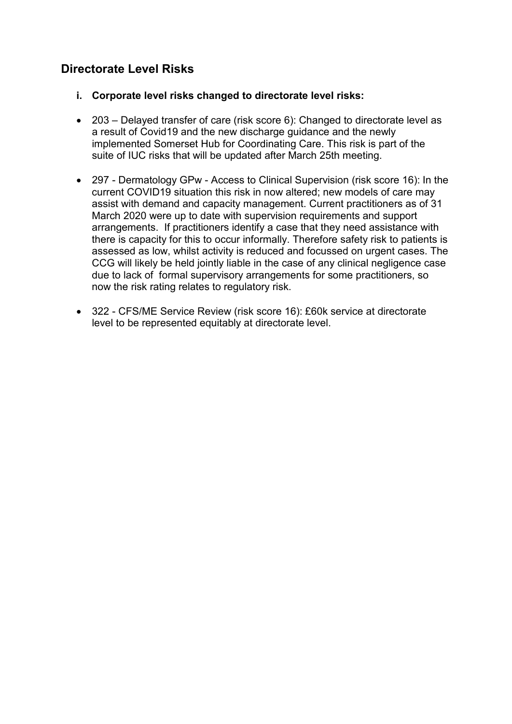## **Directorate Level Risks**

- **i. Corporate level risks changed to directorate level risks:**
- 203 Delayed transfer of care (risk score 6): Changed to directorate level as a result of Covid19 and the new discharge guidance and the newly implemented Somerset Hub for Coordinating Care. This risk is part of the suite of IUC risks that will be updated after March 25th meeting.
- 297 Dermatology GPw Access to Clinical Supervision (risk score 16): In the current COVID19 situation this risk in now altered; new models of care may assist with demand and capacity management. Current practitioners as of 31 March 2020 were up to date with supervision requirements and support arrangements. If practitioners identify a case that they need assistance with there is capacity for this to occur informally. Therefore safety risk to patients is assessed as low, whilst activity is reduced and focussed on urgent cases. The CCG will likely be held jointly liable in the case of any clinical negligence case due to lack of formal supervisory arrangements for some practitioners, so now the risk rating relates to regulatory risk.
- 322 CFS/ME Service Review (risk score 16): £60k service at directorate level to be represented equitably at directorate level.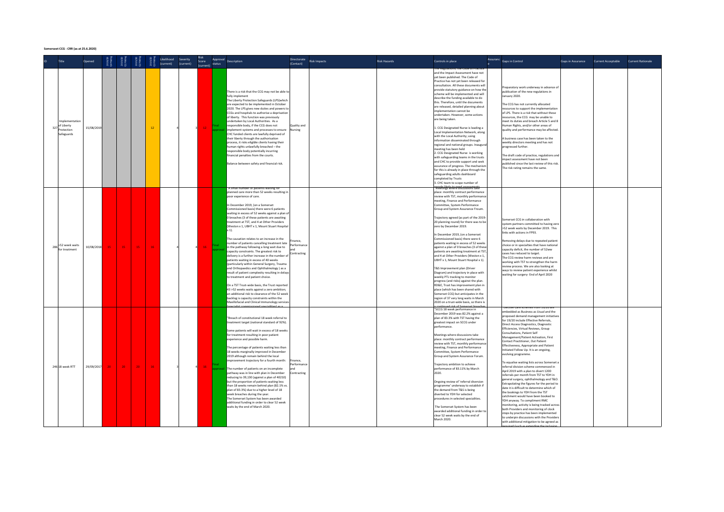#### **Somerseet CCG - CRR (as at 25.6.2020)**

| Title                                                        | Opened     |    |                 |    |     | Likelihood Severity Risk<br>(current) (current) (current) | Risk | (current) status | Approval Description                                                                                                                                                                                                                                                                                                                                                                                                                                                                                                                                                                                                                                                                                                                                                                                                                                                                                                                                                                                                                                                                                                                                                     | Directorate<br>(Contact)               | <b>Risk Impacts</b> | <b>Risk Hazards</b> | Controls in place                                                                                                                                                                                                                                                                                                                                                                                                                                                                                                                                                                                                                                                                                                                                                                                                                                                                                                                                                                                             | Assuranc Gaps in Control                                                                                                                                                                                                                                                                                                                                                                                                                                                                                                                                                                                                                                                                                                                                                                                                                                                                                                                                                                                                                                                                                                                                                             | Gaps in Assurance | Current Acceptable Current Rationale |  |
|--------------------------------------------------------------|------------|----|-----------------|----|-----|-----------------------------------------------------------|------|------------------|--------------------------------------------------------------------------------------------------------------------------------------------------------------------------------------------------------------------------------------------------------------------------------------------------------------------------------------------------------------------------------------------------------------------------------------------------------------------------------------------------------------------------------------------------------------------------------------------------------------------------------------------------------------------------------------------------------------------------------------------------------------------------------------------------------------------------------------------------------------------------------------------------------------------------------------------------------------------------------------------------------------------------------------------------------------------------------------------------------------------------------------------------------------------------|----------------------------------------|---------------------|---------------------|---------------------------------------------------------------------------------------------------------------------------------------------------------------------------------------------------------------------------------------------------------------------------------------------------------------------------------------------------------------------------------------------------------------------------------------------------------------------------------------------------------------------------------------------------------------------------------------------------------------------------------------------------------------------------------------------------------------------------------------------------------------------------------------------------------------------------------------------------------------------------------------------------------------------------------------------------------------------------------------------------------------|--------------------------------------------------------------------------------------------------------------------------------------------------------------------------------------------------------------------------------------------------------------------------------------------------------------------------------------------------------------------------------------------------------------------------------------------------------------------------------------------------------------------------------------------------------------------------------------------------------------------------------------------------------------------------------------------------------------------------------------------------------------------------------------------------------------------------------------------------------------------------------------------------------------------------------------------------------------------------------------------------------------------------------------------------------------------------------------------------------------------------------------------------------------------------------------|-------------------|--------------------------------------|--|
| Implementation<br>327 of Liberty<br>Protection<br>Safeguards | 15/08/2019 |    |                 |    | 12  |                                                           |      |                  | There is a risk that the CCG may not be able to<br>fully implement<br>The Liberty Protection Safeguards (LPS)which<br>are expected to be implemented in October<br>2020. The LPS gives new duties and powers to<br>CCGs and hospitals to authorise a deprivation<br>of liberty. This function was previously<br>undertaken by Local Authorities. As a<br>responsible body, if the CCG does not<br>implement systems and processes to ensure<br>CHC funded clients are lawfully deprived of<br>their liberty through the authorisation<br>process, it risks eligible clients having their<br>human rights unlawfully breached - the<br>responsible body potentially incurring<br>financial penalties from the courts.<br>Balance between safety and financial risk.                                                                                                                                                                                                                                                                                                                                                                                                       | Quality and<br>Nursing                 |                     |                     | and the Impact Assessment have not<br>vet been published. The Code of<br>Practice has not yet been released for<br>consultation. All these documents will<br>provide statutory guidance on how the<br>scheme will be implemented and will<br>describe the funding available to do<br>this. Therefore, until the documents<br>are released, detailed planning about<br>implementation cannot be<br>undertaken. However, some actions<br>are being taken.<br>1. CCG Designated Nurse is leading a<br>Local Implementation Network, along<br>with the Local Authority; using<br>information disseminated through<br>regional and national groups. Inaugura<br>meeting has been held<br>2. CCG Designated Nurse is working<br>with safeguarding teams in the trusts<br>and CHC to provide support and seek<br>assurance of progress. The mechanisn<br>for this is already in place through the<br>safeguarding adults dashboard<br>completed by Trusts<br>3. CHC team to scope number of                          | Preparatory work underway in advance of<br>publication of the new regulations in<br>January 2020.<br>The CCG has not currently allocated<br>resources to support the implementation<br>of LPS. There is a risk that without these<br>resources, the CCG, may be unable to<br>neet its duties and breach Article 5 and 8<br>Human Rights, and/or other areas of<br>quality and performance may be affected.<br>A business case has been taken to the<br>weekly directors meeting and has not<br>progressed further.<br>The draft code of practice, regulations and<br>impact assessment have not been<br>ublished since the last review of this risk<br>The risk rating remains the same.                                                                                                                                                                                                                                                                                                                                                                                                                                                                                             |                   |                                      |  |
| >52 week waits<br>for treatment                              | 10/08/2018 | 15 | 15 <sub>1</sub> | 15 | 16  |                                                           |      |                  | A small number of patients waiting to<br>planned care more than 52 weeks resulting in<br>poor experience of care.<br>In December 2019, (on a Somerset<br>Commissioned basis) there were 6 patients<br>waiting in excess of 52 weeks against a plan of<br>0 breaches (3 of these patients are awaiting<br>treatment at TST, and 4 at Other Providers<br>Weston x 1, UBHT x 1, Mount Stuart Hospital<br>x 1).<br>The causation relates to an increase in the<br>number of patients cancelling treatment late<br>in the pathway following a long wait due to<br>capacity constraints. The greatest risk to<br>delivery is a further increase in the number of Contracting<br>patients with:<br>patients waiting in excess of 40 weeks<br>(particularly within General Surgery, Trauma<br>and Orthopaedics and Ophthalmology) as a<br>result of patient complexity resulting in delays<br>to treatment and patient choice.<br>On a TST Trust-wide basis, the Trust reported<br>43 >52 weeks waits against a zero ambition;<br>an additional risk to clearance of the 52 week<br>backlog is capacity constraints within the<br>Maxillofacial and Clinical Immunology services | Finance.<br>Performance                |                     |                     | <del>xnaaln liks wite ransburssnors cake</del><br>place: monthly contract performance<br>review with TST, monthly performance<br>meeting, Finance and Performance<br>Committee, System Performance<br>Group and System Assurance Froum.<br>Trajectory agreed (as part of the 2019-<br>20 planning round) for there was to be<br>zero by December 2019.<br>In December 2019, (on a Somerset<br>Commissioned basis) there were 6<br>patients waiting in excess of 52 weeks<br>against a plan of 0 breaches (3 of these<br>patients are awaiting treatment at TST<br>and 4 at Other Providers (Weston x 1,<br>UBHT x 1, Mount Stuart Hospital x 1).<br>T&S Improvement plan (Driver<br>Diagram) and trajectory in place with<br>weekly PTL tracking to monitor<br>progress (and risks) against the plan.<br>RD&E, Trust has improvement plan in<br>place (which has been shared with<br>Somerset CCG) but anticipates in the<br>region of 37 very long waits in March<br>2020 on a trust-wide basis, so there is | Somerset CCG in collaboration with<br>system partners committed to having zero<br>>52 week waits by December 2019. This<br>links with actions in FP93.<br>Removing delays due to repeated patient<br>choice or in specialties that have national<br>capacity deficit, the number of 52ww<br>cases has reduced to target.<br>The CCG review harm reviews and are<br>working with TST to strengthen the harm<br>review process. We are also looking at<br>ways to review patient experience whilst<br>waiting for surgery- End of April 2020                                                                                                                                                                                                                                                                                                                                                                                                                                                                                                                                                                                                                                           |                   |                                      |  |
| 246 18 week RTT                                              | 29/09/2017 | 20 | 20              | 20 | -16 |                                                           |      |                  | "Breach of constitutional 18 week referral to<br>treatment target (national standard of 92%).<br>Some patients will wait in excess of 18 weeks<br>for treatment resulting in poor patient<br>experience and possible harm.<br>The percentage of patients waiting less than<br>18 weeks marginally improved in December<br>2019 although remain behind the local<br>improvement trajectory for a fourth month:<br>The number of patients on an incomplete<br>pathway was in line with plan in December<br>reducing to 39.130 (against a plan of 40210)<br>but the proportion of patients waiting less<br>than 18 weeks remain behind plan (82.1% vs<br>plan of 83.3%) due to a higher level of 18<br>week breaches during the year.<br>The Somerset System has been awarded<br>additional funding in order to clear 52 week<br>waits by the end of March 2020.                                                                                                                                                                                                                                                                                                            | Finance,<br>Performance<br>Contracting |                     |                     | od rick of Comprent b<br>"SCCG 18 week performance in<br>December 2019 was 82.2% against a<br>plan of 83.3% with TST having the<br>greatest impact on SCCG under<br>performance.<br>Meetings where discussions take<br>place: monthly contract performance<br>review with TST, monthly performancy<br>meeting, Finance and Performance<br>Committee, System Performance<br>Group and System Assurance Forum.<br>Trajectory ambition to achieve<br>performance of 83.11% by March<br>2020.<br>Ongoing review of 'referral diversion<br>programme' underway to establish if<br>the demand from T&S is being<br>diverted to YDH for selected<br>procedures in selected specialities.<br>The Somerset System has been<br>awarded additional funding in order to<br>clear 52 week waits by the end of<br>March 2020.                                                                                                                                                                                               | PCTIVE LACE SCOPINES TOOL 19720 AT<br>embedded as Business as Usual and the<br>proposed demand management initiative<br>for 19/20 include Effective Referrals,<br>Direct Access Diagnostics, Diagnostic<br>Efficiencies, Virtual Reviews, Group<br><b>Consultations</b> , Patient Self<br>Management/Patient Activation, First<br>Contact Practitioner, Out Patient<br>Effectiveness, Appropriate and Patient<br>Initiated Follow Up. It is an ongoing,<br>evolving programme.<br>To equalise waiting lists across Somerset a<br>referral division scheme commenced in<br>April 2019 with a plan to divert 1200<br>referrals per month from TST to YDH in<br>general surgery, ophthalmology and T&O.<br>Extrapolating the figures for the period to<br>date it is difficult to determine which of<br>the bookings to YDH from the TST<br>catchment would have been booked to<br>YDH anyway. To compliment RMC<br>monitoring, activity is being tracked across<br>both Providers and monitoring of clock<br>stops by practice has been implemented<br>to underpin discussions with the Providers<br>with additional mitigation to be agreed as<br>uuirod (cuch ac oxtonding the inclu |                   |                                      |  |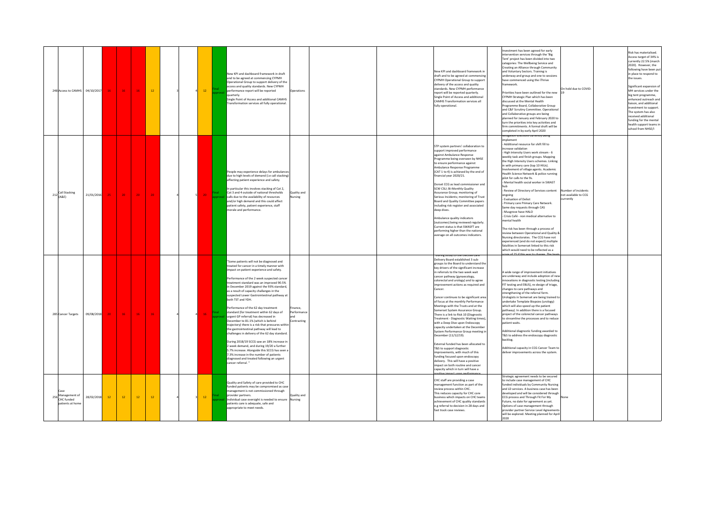| 248 Access to CAMHS                                 | 04/10/2017 | 16  | 16 <sub>1</sub> | 16              | <b>12</b> |  | $12-12$         | New KPI and dashboard framework in draft<br>and to be agreed at commencing CYPMH<br>Operational Group to support delivery of the<br>access and quality standards. New CYPMH<br>performance report will be reported<br>Operations<br>quarterly.<br>Single Point of Access and additional CAMHS<br>Transformation services all fully operational.                                                                                                                                                                                                                                                                                                                                                                                                                                                                                                                                                                                                                                                                    | New KPI and dashboard framework in<br>draft and to be agreed at commencing<br>CYPMH Operational Group to support<br>delivery of the access and quality<br>standards. New CYPMH performance<br>report will be reported quarterly.<br>Single Point of Access and additional<br>CAMHS Transformation services all<br>fully operational.                                                                                                                                                                                                                                                                                                                                                                                                                                                                                                                                                                                                                                         | westment has been agreed for early<br>tervention services through the 'Big<br>Tent' project has been divided into two<br>categories: The Wellbeing Service and<br>Creating an Alliance through Community<br>and Voluntary Sectors. Training is<br>underway and group and one to sessions<br>ave commenced using the iThrive<br>ramework.<br>riorities have been outlined for the new 19<br>CYPMH Strategic Plan which has been<br>discussed at the Mental Health<br>Programme Board, Collaborative Group<br>and C&F Scrutiny Committee, Operational<br>and Collaborative groups are being<br>planned for January and February 2020 to<br>urn the priorities into key activities and<br>firm commitments. A formal draft will be<br>completed in by early April 2020                                                                                                                                                                                                                           | On hold due to COVID-                                   | Risk has materialised.<br>Access target of 34% is<br>currently 22.5% (march<br>2020). However, the<br>following have been put<br>in place to respond to<br>the issues.<br>Significant expansion of<br>MH services under the<br>big tent programme,<br>enhanced outreach and<br>liaison, and additional<br>investment to support.<br>The system has also<br>received additional<br>funding for the mental<br>health support teams i<br>school from NHSE/I |
|-----------------------------------------------------|------------|-----|-----------------|-----------------|-----------|--|-----------------|--------------------------------------------------------------------------------------------------------------------------------------------------------------------------------------------------------------------------------------------------------------------------------------------------------------------------------------------------------------------------------------------------------------------------------------------------------------------------------------------------------------------------------------------------------------------------------------------------------------------------------------------------------------------------------------------------------------------------------------------------------------------------------------------------------------------------------------------------------------------------------------------------------------------------------------------------------------------------------------------------------------------|------------------------------------------------------------------------------------------------------------------------------------------------------------------------------------------------------------------------------------------------------------------------------------------------------------------------------------------------------------------------------------------------------------------------------------------------------------------------------------------------------------------------------------------------------------------------------------------------------------------------------------------------------------------------------------------------------------------------------------------------------------------------------------------------------------------------------------------------------------------------------------------------------------------------------------------------------------------------------|-----------------------------------------------------------------------------------------------------------------------------------------------------------------------------------------------------------------------------------------------------------------------------------------------------------------------------------------------------------------------------------------------------------------------------------------------------------------------------------------------------------------------------------------------------------------------------------------------------------------------------------------------------------------------------------------------------------------------------------------------------------------------------------------------------------------------------------------------------------------------------------------------------------------------------------------------------------------------------------------------|---------------------------------------------------------|----------------------------------------------------------------------------------------------------------------------------------------------------------------------------------------------------------------------------------------------------------------------------------------------------------------------------------------------------------------------------------------------------------------------------------------------------------|
| 212 Call Stacking                                   | 21/01/2016 | 25. | 20              | 20 <sub>1</sub> | 20        |  | 20 <sub>1</sub> | People may experience delays for ambulances<br>due to high levels of demand (i.e call stacking)<br>affecting patient experience and safety.<br>In particular this involves stacking of Cat 2,<br>Cat 3 and 4 outside of national thresholds<br>Quality and<br>calls due to the availability of resources<br>ursing<br>and/or high demand and this could affect<br>patient safety, patient experience, staff<br>morale and performance.                                                                                                                                                                                                                                                                                                                                                                                                                                                                                                                                                                             | STP system partners' collaboration to<br>support improved performance<br>against Ambulance Response<br>Programme being overseen by NHSE<br>to ensure performance against<br>Ambulance Response Programme<br>(CAT 1 to 4) is achieved by the end of<br>financial year 2020/21.<br>Dorset CCG as lead commissioner and<br>SCW CSU; Bi-Monthly Quality<br>Assurance Group; monitoring of<br>Serious Incidents: monitoring of Trust<br>Board and Quality Committee papers<br>including risk register and associated<br>deep dives.<br>Ambulance quality indicators<br>(outcomes) being reviewed regularly.<br>Current status is that SWASFT are<br>performing higher than the national<br>average on all outcomes indicators.                                                                                                                                                                                                                                                    | htigation s/actions currently being<br>mplement<br>Additional resource for shift fill to<br>ncrease validation<br>High Intensity Users work stream - 6<br>weekly task and finish groups. Mapping<br>the High Intensity Users schemes. Linking<br>with primary care (top 10 HIUs).<br>wolvement of village agents. Academic<br>Health Science Network & police running<br>bilot for calls to the 9s.<br>- Mental health social worker in SWAST<br>Review of Directory of Services content<br>ngoing<br>Evaluation of Deliot<br>Primary care Primary Care Network.<br>ame day requests through CAS<br>Musgrove have HALO<br>- Crisis Café - non medical alternative to<br>ental health<br>The risk has been through a process of<br>eview between Operational and Quality &<br>Nursing directorates. The CCG have not<br>experienced (and do not expect) multiple<br>fatalities in Somerset linked to this risk<br>which would need to be reflected as a<br>re of 25 if this was to change. The | Number of incidents<br>not available to CCG<br>urrently |                                                                                                                                                                                                                                                                                                                                                                                                                                                          |
| 285 Cancer Targets                                  | 09/08/2018 |     | 16              | 16              | 16        |  |                 | "Some patients will not be diagnosed and<br>treated for cancer in a timely manner with<br>impact on patient experience and safety.<br>Performance of the 2 week suspected cancer<br>treatment standard was an improved 90.5%<br>in December 2019 against the 93% standard.<br>as a result of capacity challanges in the<br>suspected Lower Gastrointestinal pathway at<br>both TST and YDH.<br>Performance of the 62 day treatment<br>inance.<br>standard (for treatment within 62 days of<br>erformancı<br>urgent GP referral) has decreased in<br>December to 81.1% (which is behind<br>Contracting<br>trajectory) there is a risk that pressures within<br>the gastrointestinal pathway will lead to<br>challenges in delivery of the 62 day standard.<br>During 2018/19 SCCG saw an 18% increase in<br>2 week demand, and during 19/20 a further<br>5.7% increase. Alongside this SCCG has seen a<br>7.3% increase in the number of patients<br>diagnosed and treated following an urgent<br>cancer referral." | Juring 2016/19 the clective Car<br>Delivery Board established 3 sub-<br>groups to the Board to understand the<br>key drivers of the significant increase<br>in referrals to the two week wait<br>cancer pathway (gynaecology,<br>colorectal and urology) and to agree<br>improvement actions as required and<br>Cancer.<br>Cancer continues to be significant area<br>of focus at the monthly Performance<br>Meetings with the Trusts and at the<br>Somerset System Assurance Group.<br>There is a link to Risk 10 (Diagnostic<br>Treatment - Diagnostic Waiting times]<br>with a Deep Dive upon Endoscopy<br>capacity undertaken at the December<br>System Performance Group meeting in<br>December (11/12/19).<br>External funded has been allocated to<br>T&S to support diagnostic<br>improvements, with much of this<br>funding focused upon endoscopy<br>delivery. This will have a positive<br>mpact on both routine and cancer<br>capacity which in turn will have a | A wide range of improvement initiatives<br>are underway and include adoption of new<br>nnovations in diagnostic testing (including<br>FIT testing and EBUS), re-design of triage,<br>changes to care pathways and<br>strengthening of the referral form.<br>Urologists in Somerset are being trained to<br>undertake Template Biopsies (urology)<br>which will also speed up the patient<br>athway). In addition there is a focused<br>project of the colorectal cancer pathways<br>to streamline the processes and to reduce<br>atient waits.<br>Additional diagnostic funding awarded to<br>T&S to address the endoscopy diagnostic<br>acklog.<br>Additional capacity in CCG Cancer Team to<br>deliver improvements across the system.                                                                                                                                                                                                                                                      |                                                         |                                                                                                                                                                                                                                                                                                                                                                                                                                                          |
| Management of<br>256 CHC funded<br>patients at home | 28/02/2018 | 12  | <b>12</b>       | $12$            | <b>12</b> |  | $12-12$         | Quality and Safety of care provided to CHC<br>funded patients may be compromised as case<br>management is not commissioned through<br>provider partners.<br>uality and<br>Individual case oversight is needed to ensure Nursing<br>patients care is adequate, safe and<br>appropriate to meet needs.                                                                                                                                                                                                                                                                                                                                                                                                                                                                                                                                                                                                                                                                                                               | CHC staff are providing a case<br>management function as part of the<br>review process within CHC.<br>This reduces capacity for CHC core<br>business which impacts on CHC team<br>achievement of CHC quality standards<br>e.g referral to decision in 28 days and<br>fast track case reviews.                                                                                                                                                                                                                                                                                                                                                                                                                                                                                                                                                                                                                                                                                | Strategic agreement needs to be secured<br>o include case management of CHC<br>funded individuals by Community Nursing<br>and LD services. A business case has been<br>leveloped and will be considered through<br>CCG process and Through Fit For My<br>Future, no date for agreement as yet.<br>Options of case management through<br>provider partner Service Level Agreement:<br>will be explored. Meeting planned for April<br>2020                                                                                                                                                                                                                                                                                                                                                                                                                                                                                                                                                      |                                                         |                                                                                                                                                                                                                                                                                                                                                                                                                                                          |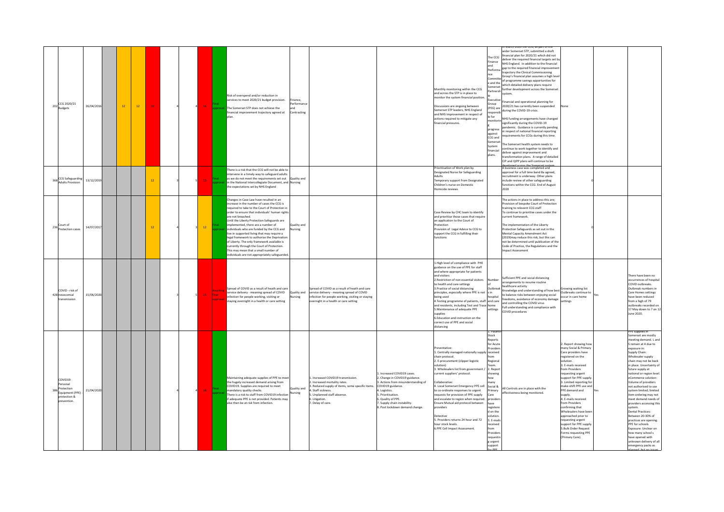| $_{\rm 202}^{\rm CCG\ 2020/21}_{\rm Budapest}$                                       | 26/04/2016 | $12$ | $12$ | 20 |  |                 |                                   | Risk of overspend and/or reduction in<br>services to meet 2020/21 budget provision.<br>The Somerset STP does not achieve the<br>inancial improvement trajectory agreed at                                                                                                                                                                                                                                                                                                                                                                                                                                                            | nance<br>rformanc<br>Contracting |                                                                                                                                                                                                   |                                                                                                                                                                                                                                                    | Monthly monitoring within the CCG<br>and across the STP is in place to<br>monitor the system financial position<br>Discussions are ongoing between<br>Somerset STP leaders, NHS England<br>and NHS Improvement in respect of<br>actions required to mitigate any<br>financial pressures                                                                                                                                                                                                                                                           | The CCG<br>Finance<br>hne<br>Perform<br>and the<br>omerset<br>Partnersh<br>xecutiv<br>PEG) ar<br>e for<br>nonito<br>progress<br>against<br>CCG and<br>Somerse<br>System<br>inancial<br>plans.                                                      | arch 2020 the CCG, as part or t<br>rider Somerset STP, submitted a draft<br>nancial plan for 2020/21 which did not<br>eliver the required financial targets set by<br>NHS England. In addition to the financial<br>gap to the required financial improvemen<br>raiectory the Clinical Commissioning<br>Sroup's financial plan assumes a high leve<br>f programme savings opportunities for<br>which detailed delivery plans require<br>urther development across the Somerset<br>nancial and operational planning for<br>020/21 has currently been suspended<br>luring the COVID-19 crisis.<br><b>NHS funding arrangements have changed</b><br>ignificantly during the COVID-19<br>ndemic. Guidance is currently pending<br>respect of national financial reporting<br>quirements for CCGs during this time.<br>he Somerset health system needs to<br>ontinue to work together to identify and<br>leliver against improvement and<br>ransformation plans. A range of detailed<br>IP and QIPP plans will continue to be | Vone                                                                                                                                                                                                                                                                                                                                                                                                                                                                                                          |                                                                                                                                                                                                                                                                                                                                                                                                                                                                                                                                                                                                                                                                         |
|--------------------------------------------------------------------------------------|------------|------|------|----|--|-----------------|-----------------------------------|--------------------------------------------------------------------------------------------------------------------------------------------------------------------------------------------------------------------------------------------------------------------------------------------------------------------------------------------------------------------------------------------------------------------------------------------------------------------------------------------------------------------------------------------------------------------------------------------------------------------------------------|----------------------------------|---------------------------------------------------------------------------------------------------------------------------------------------------------------------------------------------------|----------------------------------------------------------------------------------------------------------------------------------------------------------------------------------------------------------------------------------------------------|---------------------------------------------------------------------------------------------------------------------------------------------------------------------------------------------------------------------------------------------------------------------------------------------------------------------------------------------------------------------------------------------------------------------------------------------------------------------------------------------------------------------------------------------------|----------------------------------------------------------------------------------------------------------------------------------------------------------------------------------------------------------------------------------------------------|------------------------------------------------------------------------------------------------------------------------------------------------------------------------------------------------------------------------------------------------------------------------------------------------------------------------------------------------------------------------------------------------------------------------------------------------------------------------------------------------------------------------------------------------------------------------------------------------------------------------------------------------------------------------------------------------------------------------------------------------------------------------------------------------------------------------------------------------------------------------------------------------------------------------------------------------------------------------------------------------------------------------|---------------------------------------------------------------------------------------------------------------------------------------------------------------------------------------------------------------------------------------------------------------------------------------------------------------------------------------------------------------------------------------------------------------------------------------------------------------------------------------------------------------|-------------------------------------------------------------------------------------------------------------------------------------------------------------------------------------------------------------------------------------------------------------------------------------------------------------------------------------------------------------------------------------------------------------------------------------------------------------------------------------------------------------------------------------------------------------------------------------------------------------------------------------------------------------------------|
| <b>CCG Safeguardin</b><br><b>Adults Provision</b>                                    | 13/12/2019 |      |      | 12 |  |                 |                                   | There is a risk that the CCG will not be able to<br>intervene in a timely way to safeguard adults<br>as we do not meet the requirements set out Quality and<br>in the National Intercollegiate Document, and Nursing<br>the expectations set by NHS England                                                                                                                                                                                                                                                                                                                                                                          |                                  |                                                                                                                                                                                                   |                                                                                                                                                                                                                                                    | Prioritisation of Work plan by<br>Designated Nurse for Safeguarding<br>Adults<br>Temporary support from Designated<br>Children's nurse on Domestic<br>lomicide reviews                                                                                                                                                                                                                                                                                                                                                                            |                                                                                                                                                                                                                                                    | business case was completed and<br>approval for a full time band 8a agreed,<br>recruitment is underway. Other plans<br>nclude review of other safeguarding<br>unctions within the CCG. End of August<br>020                                                                                                                                                                                                                                                                                                                                                                                                                                                                                                                                                                                                                                                                                                                                                                                                            |                                                                                                                                                                                                                                                                                                                                                                                                                                                                                                               |                                                                                                                                                                                                                                                                                                                                                                                                                                                                                                                                                                                                                                                                         |
| 236 Court of<br>otection cases                                                       | 14/07/2017 |      |      | 12 |  | 12 <sup>°</sup> |                                   | Changes in Case Law have resulted in an<br>increase in the number of cases the CCG is<br>required to take to the Court of Protection in<br>order to ensure that individuals' human right<br>are not breached.<br>Until the Liberty Protection Safeguards are<br>implemented, there are a number of<br>individuals who are funded by the CCG and<br>live in supported living that may require a<br>legal framework to authorise the Deprivation<br>of Liberty. The only framework available is<br>currently through the Court of Protection.<br>This may mean that a small number of<br>individuals are not appropriately safeguarded | ality and<br>rsing               |                                                                                                                                                                                                   |                                                                                                                                                                                                                                                    | Case Review by CHC team to identify<br>and prioritise those cases that require<br>an application to the Court of<br>Protection<br>rovision of Legal Advice to CCG to<br>support the CCG in fulfilling their<br>functions                                                                                                                                                                                                                                                                                                                          |                                                                                                                                                                                                                                                    | he actions in place to address this are;<br>rovision of bespoke Court of Protection<br>raining to relevent CCG staff<br>To continue to prioritise cases under the<br>urrent framework.<br>The implementation of the Liberty<br>rotection Safeguards as set out in the<br>Mental Capacity Amendment Act<br>2019) may reduce this risk, but this can<br>not be determined until publication of the<br>Code of Practice, the Regulations and the<br>nnact Assessment                                                                                                                                                                                                                                                                                                                                                                                                                                                                                                                                                      |                                                                                                                                                                                                                                                                                                                                                                                                                                                                                                               |                                                                                                                                                                                                                                                                                                                                                                                                                                                                                                                                                                                                                                                                         |
| COVID - risk of<br>428 nosocomial<br>ransmission                                     | 15/06/2020 |      |      |    |  | 15              | Awaiti<br><b>Ifinal</b><br>annroy | Spread of COVID as a result of heath and care<br>service delivery - meaning spread of COVID<br>infection for people working, visiting or<br>staying overnight in a health or care setting                                                                                                                                                                                                                                                                                                                                                                                                                                            | Quality and<br>rsing             | Spread of COVID as a result of heath and care<br>service delivery - meaning spread of COVID<br>infection for people working, visiting or staying<br>ernight in a health or care setting           |                                                                                                                                                                                                                                                    | 1. High level of compliance with PHE<br>guidance on the use of PPE for staff<br>and where appropriate for patients<br>and visitors<br>2. Restriction of non essential visitors<br>to health and care settings<br>3. Practice of social distancing<br>principles, especially where PPE is not<br>being used<br>4. Testing programme of patients, staff and care<br>and residents, including Test and Trace home<br>5. Maintenance of adequate PPE<br>supplies<br>6.Education and instruction on the<br>correct use of PPE and social<br>distancing | Number<br><b>Outbreal</b><br>ospital<br>settings                                                                                                                                                                                                   | Sufficient PPE and social distancing<br>rrangements to resume routine<br>ealthcare activity<br>iealthcare activity<br>inowledge and understanding of how best Growing waiting list<br>a balance ricks botwoon oniquing cosial Qutbreaks continue to<br>balance risks between enioving social<br>eedoms, avoidance of economy damage<br>nd controlling the COVID virus<br>ull understanding and compliance with<br>OVID procedures                                                                                                                                                                                                                                                                                                                                                                                                                                                                                                                                                                                      | occur in care home<br>settings                                                                                                                                                                                                                                                                                                                                                                                                                                                                                | There have been no<br>occurrences of hospital<br>COVID outbreaks.<br>Outbreak numbers in<br>Care Homes settings<br>have been reduced<br>from a high of 79<br>outbreaks recorded on<br>17 May down to 7 on 12<br>June 2020.                                                                                                                                                                                                                                                                                                                                                                                                                                              |
| COVID19:<br>Personal<br>Protection<br>Equipment (PPE)<br>protection &<br>prevention. | 21/04/2020 |      |      |    |  |                 |                                   | Maintaining adequate supplies of PPE to mee<br>the hugely increased demand arising from<br>COVID19. Supplies are required to meet<br>nandatory quality checks.<br>There is a risk to staff from COVID19 infection<br>f adequate PPE is not provided. Patients may<br>also then be at risk from infection.                                                                                                                                                                                                                                                                                                                            | Quality and<br>Nursing           | Increased COVID19 transmission<br>. Increased mortality rates.<br>Reduced supply of items, some specific items.<br>. Staff sickness.<br>Unplanned staff absence.<br>Litigation.<br>Delay of care. | L. Increased COVID19 cases.<br>2. Change in COVID19 guidance.<br>3. Actions from misunderstanding of<br>COVID19 guidance.<br>. Logistics.<br>Prioritisation<br>6. Quality of PPE.<br>7. Supply chain instability<br>8. Post lockdown demand change | wentative<br>1. Centrally managed nationally supply<br>chain protocol.<br>2. E-procurement (clipper logistic<br>ution'<br>3. Wholesalers list from government.<br>current suppliers' protocol.<br>ollaborative:<br>4. Local Somerset Emergency PPE cell<br>to co-ordinate responses to urgent<br>requests for provision of PPE supply<br>and escalate to region when required.<br>Ensure Mutual aid protocol between<br>providers<br>Detective<br>5. Providers returns 24 hour and 72<br>hour stock levels.<br>6.PPE Cell Impact Assessment.      | Stock<br>Renorts<br>for Acute<br>nvider<br>eceived<br>Regiona<br>eam<br>2. Repor<br>showing<br>Social 8<br>Primary<br>provid<br>have<br>registere<br>d on the<br>nlution<br>3. F-mail<br>ceived<br>rom<br>rovider<br>eauestii<br>urgent<br>support | All Controls are in place with the<br>ffectiveness being monitored.                                                                                                                                                                                                                                                                                                                                                                                                                                                                                                                                                                                                                                                                                                                                                                                                                                                                                                                                                    | 2. Report showing how<br>many Social & Priman<br>Care providers have<br>egistered on the<br>solution.<br>3. E-mails received<br>from Providers<br>requesting urgent<br>support for PPE supply<br>3. Limited reporting for<br>make-shift PPE use and<br>PPE demand and<br>supply.<br>4. E-mails received<br>from Providers<br>confirming that<br>Wholesalers have been<br>approached prior to<br>requesting urgent<br>upport for PPE supply<br>5. Bulk Order Request<br>orms requesting PPE<br>(Primary Care). | PE supplies in<br>Somerset are mostly<br>meeting demand. L and<br>S remain at 4 due to<br>exposure in:<br>Supply Chain:<br>Wholesaler supply<br>chain may not be back<br>in place. Uncertainty of<br>future supply at<br>national or region level<br>eCommerce solution:<br>Volume of providers<br>not authorised to use<br>system limited; limited<br>item ordering may not<br>meet demand needs o<br>providers accessing this<br>system.<br>Dental Practices:<br>Between 20-30% of<br>practices are opening.<br>PPE for schools<br>Exposure: Unclear on<br>how many school s<br>have opened with<br>unknown delivery of all<br>emergency packs as<br>ned but no iccue |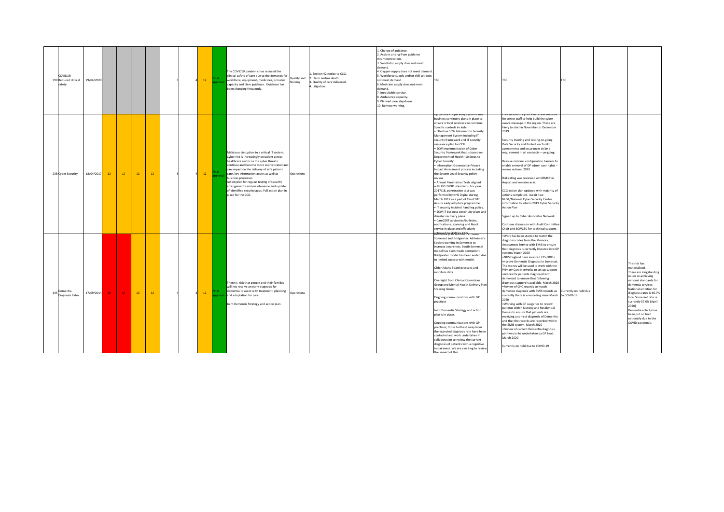|                                             |            |           |      |    |    |  |         |                                                                                                                                                                                                                                                                                                                                                                                                                                                                          |                        |                                                                                                         | 1. Change of guidance.                                                                                                                                                                                                                                                                                                                                                     |                                                                                                                                                                                                                                                                                                                                                                                                                                                                                                                                                                                                                                                                                                                                                                                                                                                                                                                                                                                                                                                                        |                                                                                                                                                                                                                                                                                                                                                                                                                                                                                                                                                                                                                                                                                                                                                                                                                                                                                                                                                                                                                                                       |                                                                                                                                                                                                                                                                                                                                            |
|---------------------------------------------|------------|-----------|------|----|----|--|---------|--------------------------------------------------------------------------------------------------------------------------------------------------------------------------------------------------------------------------------------------------------------------------------------------------------------------------------------------------------------------------------------------------------------------------------------------------------------------------|------------------------|---------------------------------------------------------------------------------------------------------|----------------------------------------------------------------------------------------------------------------------------------------------------------------------------------------------------------------------------------------------------------------------------------------------------------------------------------------------------------------------------|------------------------------------------------------------------------------------------------------------------------------------------------------------------------------------------------------------------------------------------------------------------------------------------------------------------------------------------------------------------------------------------------------------------------------------------------------------------------------------------------------------------------------------------------------------------------------------------------------------------------------------------------------------------------------------------------------------------------------------------------------------------------------------------------------------------------------------------------------------------------------------------------------------------------------------------------------------------------------------------------------------------------------------------------------------------------|-------------------------------------------------------------------------------------------------------------------------------------------------------------------------------------------------------------------------------------------------------------------------------------------------------------------------------------------------------------------------------------------------------------------------------------------------------------------------------------------------------------------------------------------------------------------------------------------------------------------------------------------------------------------------------------------------------------------------------------------------------------------------------------------------------------------------------------------------------------------------------------------------------------------------------------------------------------------------------------------------------------------------------------------------------|--------------------------------------------------------------------------------------------------------------------------------------------------------------------------------------------------------------------------------------------------------------------------------------------------------------------------------------------|
| COVID19:<br>390 Reduced clinical<br>safety. | 29/04/2020 |           |      |    |    |  | $12-12$ | The COVID19 pandemic has reduced the<br>clinical safety of care due to the demands for<br>workforce, equipment, medicines, provider<br>capacity and clear guidance. Guidance has<br>been changing frequently.                                                                                                                                                                                                                                                            | Quality and<br>Nursing | . Section 42 notice to CCG.<br>2. Harm and/or death.<br>3. Quality of care delivered.<br>4. Litigation. | 2. Actions arising from guidance<br>misinterpretation.<br>3. Ventilator supply does not meet<br>demand.<br>4. Oxygen supply does not meet demand.<br>5. Workforce supply and/or skill set does<br>not meet demand.<br>6. Medicine supply does not meet<br>demand.<br>7. Inequitable service.<br>8. Ambulance capacity.<br>9. Planned care stepdown.<br>10. Remote working. | TRC                                                                                                                                                                                                                                                                                                                                                                                                                                                                                                                                                                                                                                                                                                                                                                                                                                                                                                                                                                                                                                                                    | <b>TBC</b><br>TBC                                                                                                                                                                                                                                                                                                                                                                                                                                                                                                                                                                                                                                                                                                                                                                                                                                                                                                                                                                                                                                     |                                                                                                                                                                                                                                                                                                                                            |
| 238 Cyber Security                          | 18/04/2017 | <b>12</b> | $12$ | 12 | 12 |  | 12      | Malicious disruption to a critical IT system.<br>Cyber risk is increasingly prevalent across<br>healthcare sector as the cyber threats<br>continue and become more sophisticated and<br>can impact on the delivery of safe patient<br>care, key information assets as well as<br>business processes.<br>Action plan for regular testing of security<br>arrangements and maintenance and update<br>of identified security gaps. Full action plan in<br>place for the CCG. | Operations             |                                                                                                         |                                                                                                                                                                                                                                                                                                                                                                            | up to date in operating systems and<br>business continuity plans in place to<br>ensure critical services can continue.<br>Specific controls include:<br>· Effective SCW Information Security<br>Management System including IT<br>security framework and IT security<br>assurance plan for CCG.<br>· SCW Implementation of Cyber<br>Security framework that is based on<br>Department of Health '10 Steps to<br>Cyber Security'.<br>· Information Governance Privacy<br><b>Impact Assessment process including</b><br>the System Level Security policy<br>'eview<br>· Annual Penetration Tests aligned<br>with ISO 27001 standards. For year<br>2017/18, penetration test was<br>performed by NHS Digital during<br>March 2017 as a part of CareCERT<br>Assure early adopters programme.<br>. IT security incident handling policy.<br>. SCW IT business continuity plans and<br>disaster recovery plans.<br>· CareCERT advisories/bulletins,<br>notifications, scanning and React<br>service in place and effectively<br><del>DEIRERda prior la finchéo in sout</del> | ee to attend Cyber Awareness sessi<br>for senior staff to help build the cyber<br>aware message in the region. These are<br>likely to start in November or December<br>2019.<br>Security training and testing on-going<br>Data Security and Protection Toolkit<br>assessments and assurances to be a<br>requirement in all contracts - on-going<br>Resolve national configuration barriers to<br>enable removal of GP admin user rights -<br>review autumn 2019<br>Risk rating was reviewed at IGRMCC in<br>August and remains as is.<br>CCG action plan updated with majority of<br>actions completed. Await new<br>NHSE/National Cyber Security Centre<br>information to inform 2019 Cyber Security<br><b>Action Plan</b><br>Signed up to Cyber Associates Network.<br>Continue discussion with Audit Committee<br>Chair and SCWCSU for technical support.                                                                                                                                                                                          |                                                                                                                                                                                                                                                                                                                                            |
| 135 Dementia<br><b>Diagnosis Rates</b>      | 17/09/2014 | 16        | 16   | 12 | 12 |  | 12      | There is risk that people and their families<br>will not receive an early diagnosis for<br>dementia to assist with treatment, planning<br>and adaptation for care.<br>Joint Dementia Strategy and action plan.                                                                                                                                                                                                                                                           | Operations             |                                                                                                         |                                                                                                                                                                                                                                                                                                                                                                            | Somerset and Bridgwater. Alzheimer's<br>Society working in Somerset to<br>increase awareness. South Somerset<br>model has been made permanent.<br>Bridgwater model has been ended due<br>to limited success with model.<br>Older Adults Board oversees and<br>monitors data<br><b>Oversight from Clinical Operations</b><br>Group and Mental Health Delivery Plan<br><b>Steering Group</b><br>Ongoing communications with GP<br>practices<br>Joint Dementia Strategy and action<br>plan is in place.<br>Ongoing communications with GP<br>practices, those furthest away from<br>the expected diagnosis rate have been<br>contacted and work undertaken in<br>collaboration to review the current<br>diagnosis of patients with a cognitive<br>impairment. We are awaiting to review<br>he imnact of this                                                                                                                                                                                                                                                              | .Work has been started to match the<br>diagnosis codes from the Memory<br>Assessment Service with EMIS to ensure<br>that diagnosis is correctly imputed into GP<br>systems March 2020<br>.NHS England have invested £15,000 to<br>improve Dementia Diagnosis in Somerset.<br>The money will be used to work with the<br>Primary Care Networks to set up support<br>services for patients diagnosed with<br>demented to ensure that following<br>diagnosis support is available. March 2020<br>.Review of CHC records to match<br>dementia diagnosis with EMIS records as Currently on hold due<br>currently there is a recording issue March to COVID-19<br>2020<br>. Working with GP surgeries to review<br>patients within Nursing and Residential<br>Homes to ensure that patients are<br>receiving a correct diagnosis of Dementia<br>and that the records are recorded within<br>the EMIS system. March 2020<br>.Review of current Dementia diagnosis<br>pathway to be undertaken by GP Lead.<br>March 2020<br>Currently on hold due to COVID-19 | This risk has<br>materialised.<br>There are longstanding<br>issues re achieving<br>national standards for<br>dementia services.<br>National ambition for<br>diagnosis rates is 66.7%<br>local Somerset rate is<br>currently 57.0% (April<br>2020)<br>Dementia activity has<br>been put on hold<br>nationally due to the<br>COVID pandemic. |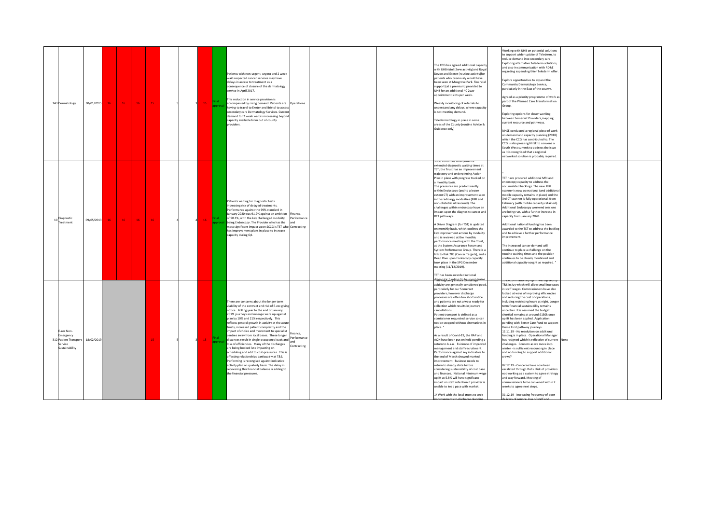| 30/01/2015<br>143 Dermatology                                                               | 16 <sub>1</sub><br>16 <sub>1</sub><br>16 <sub>1</sub><br>15 | 15 | Patients with non-urgent, urgent and 2 week<br>wait suspected cancer services may have<br>delays in access to treatment as a<br>consequence of closure of the dermatology<br>service in April 2017.<br>This reduction in service provision is<br>accompanied by rising demand. Patients are   Qperations<br>having to travel to Exeter and Bristol to access<br>secondary care Dermatology Services. Current<br>demand for 2 week waits is increasing beyond<br>capacity available from out of county<br>providers.                                                                                                                                                                                                                                                                                                                                                                                        | The CCG has agreed additional capacity<br>with UHBristol (2ww activity)and Royal<br>Devon and Exeter (routine activity)for<br>patients who previously would have<br>been seen at Musgrove Park. Financial<br>support (at a premium) provided to<br>UHB for an additional 40 2ww<br>appointment slots per week.<br>Weekly monitoring of referrals to<br>understand any delays, where capacity<br>is not meeting demand.<br>Feledermatology in place in some<br>areas of the County (routine Advice &<br>Guidance only)                                                                                                                                                                                                                                                                                                                                                                                                                                                                              | Working with UHB on potential solutions<br>to support wider uptake of Telederm, to<br>educe demand into secondary care.<br>Exploring alternative Telederm solutions,<br>and also in communication with RD&E<br>regarding expanding thier Telederm offer<br>Explore opportunities to expand the<br>Community Dermatology Service.<br>particularly in the East of the county.<br>Agreed as a priority programme of work as<br>part of the Planned Care Transformation<br>Group.<br>Exploring options for closer working<br>between Somerset Providers, mapping<br>current resource and pathways.<br>NHSE conducted a regional piece of work<br>on demand and capacity planning (2018)<br>which the CCG has contributed to. The<br>CCG is also pressing NHSE to convene a<br>South West summit to address the issue<br>as it is recognised that a regional<br>networked solution is probably required.                                                                                                                                                                                 |
|---------------------------------------------------------------------------------------------|-------------------------------------------------------------|----|------------------------------------------------------------------------------------------------------------------------------------------------------------------------------------------------------------------------------------------------------------------------------------------------------------------------------------------------------------------------------------------------------------------------------------------------------------------------------------------------------------------------------------------------------------------------------------------------------------------------------------------------------------------------------------------------------------------------------------------------------------------------------------------------------------------------------------------------------------------------------------------------------------|----------------------------------------------------------------------------------------------------------------------------------------------------------------------------------------------------------------------------------------------------------------------------------------------------------------------------------------------------------------------------------------------------------------------------------------------------------------------------------------------------------------------------------------------------------------------------------------------------------------------------------------------------------------------------------------------------------------------------------------------------------------------------------------------------------------------------------------------------------------------------------------------------------------------------------------------------------------------------------------------------|-------------------------------------------------------------------------------------------------------------------------------------------------------------------------------------------------------------------------------------------------------------------------------------------------------------------------------------------------------------------------------------------------------------------------------------------------------------------------------------------------------------------------------------------------------------------------------------------------------------------------------------------------------------------------------------------------------------------------------------------------------------------------------------------------------------------------------------------------------------------------------------------------------------------------------------------------------------------------------------------------------------------------------------------------------------------------------------|
| 10 Diagnostic<br>09/05/2013<br><b>Treatment</b>                                             | 16 <sub>1</sub><br>16<br>$16 -$<br>16                       |    | Patients waiting for diagnostic tests<br>increasing risk of delayed treatments.<br>Performance against the 99% standard in<br>January 2020 was 91.9% against an ambition Finance,<br>of 90.1%, with the key challenged modality<br>Performance<br>being Endoscopy. The Provider who has the<br>most significant impact upon SCCG is TST who Contracting<br>has improvement plans in place to increase<br>capacity during Q4.                                                                                                                                                                                                                                                                                                                                                                                                                                                                               | st th continues to experien<br>extended diagnostic waiting times at<br>TST; the Trust has an improvement<br>trajectory and underpinning Action<br>Plan in place with progress tracked on<br>monthly basis.<br>The pressures are predominantly<br>within Endoscopy (and to a lesser<br>extent CT) with an improvement seen<br>in the radiology modalities (MRI and<br>non-obstetric ultrasound). The<br>challenges within endoscopy have an<br>impact upon the diagnositc cancer and<br>RTT pathways.<br>A Driver Diagram (for TST) is updated<br>on monthly basis, which outlines the<br>key improvement actions by modality<br>and is reviewed at the monthly<br>performance meeting with the Trust,<br>at the System Assurance Forum and<br>System Performance Group. There is a<br>link to Risk 285 (Cancer Targets), and a<br>Deep Dive upon Endoscopy capacity<br>took place in the SPG December<br>neeting (11/12/2019).<br>TST has been awarded national                                    | TST have procured additional MRI and<br>ndoscopy capacity to address the<br>accumulated backlogs. The new MRI<br>scanner is now operational (and additional<br>mobile capacity remains in place) and the<br>3rd CT scanner is fully operational, from<br>February (with mobile capacity retained).<br>Additional Endoscopy weekend sessions<br>are being run, with a further increase in<br>capacity from January 2020.<br>Additional national funding has been<br>awarded to the TST to address the backlog<br>and to achieve a further performance<br>improvement.<br>The increased cancer demand will<br>continue to place a challange on the<br>routine waining times and the position<br>continues to be closely montiored and<br>additional capacity sought as required. '                                                                                                                                                                                                                                                                                                    |
| E-zec Non-<br>Emergency<br>312 Patient Transport<br>18/02/2019<br>Service<br>Sustainability |                                                             | 15 | There are concerns about the longer term<br>viability of the contract and risk of E-zec giving<br>notice. Rolling year to the end of January<br>2019 journeys and mileage were up against<br>plan by 10% and 21% respectively. This<br>reflects general growth in activity at the acute<br>trusts, increased patient complexity and the<br>impact of choice and movement to specialist<br>Finance.<br>centres away from local bases. These longer<br>distances result in single-occupancy loads and <b>Performance</b><br>loss of efficiencies. Many of the discharges<br>Contracting<br>are being booked late impacting on<br>scheduling and add to cost-pressures. This is<br>affecting relationships particualrly at T&S.<br>Performing is recongised against indicative<br>activity plan on quaterly basis. The delay in<br>recovering this financial balance is adding to<br>the financial pressures. | <del>linerentic fina dina Lite to manatu</del><br>acitivity are generally considered good,<br>particularly for our Somerset<br>providers; however discharge<br>processes are often too short notice<br>and patients are not always ready for<br>collection which results in journey<br>cancellations<br>Patient transport is defined as a<br>comissioner requested service so can<br>not be stopped without alternatives in<br>nlace.<br>As a result of Covid-19, the RAP and<br>AQN have been put on hold pending a<br>return to b.a.u. Evidence of improved<br>management and staff recruitment.<br>Performance against key indicators to<br>the end of March showed marked<br>improvement. Business needs to<br>return to steady state before<br>considering sustainability of cost base<br>and finances. National minimum wage<br>uplift at 5.8% will have significant<br>impact on staff retention if provider is<br>nable to keep pace with market.<br>1/ Work with the local trusts to seek | 2019/20 imiationaly upint was agreed by<br>T&S in Juy which will allow small increases<br>in staff wages. Commissioners have also<br>looked at ways of improving efficiencies<br>and reducing the cost of operations.<br>including restricting hours at night. Longer<br>term financial sustainability remains<br>uncertain. It is assumed the budget<br>shortfall remains at around £150k once<br>uplift has been applied. Application<br>pending with Better Care Fund to support<br>Home First pathway journeys.<br>11.11.19 - No resolution on additional<br>funding is in place. Operational Manager<br>has resigned which is reflective of current None<br>challenges. Concern as we move into<br>winter - is sufficient resourcing in place<br>and no funding to support additional<br>crews?<br>02.12.19 - Concerns have now been<br>escalated through DoFs. Risk of providers<br>not working as a system to agree strategy<br>and way forward. Meeting of<br>ommissioners to be convened within 2<br>weeks to agree next steps.<br>31.12.19 - Increasing frequency of poor |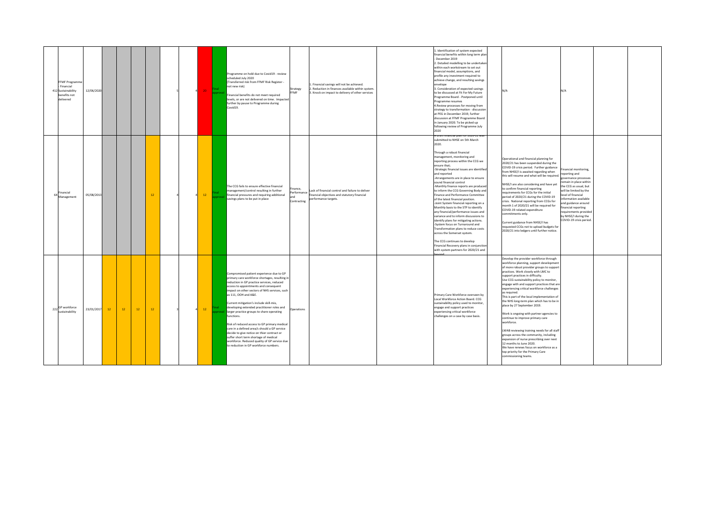| FFMF Programme<br>Financial<br>12/06/2020<br>412 Sustainability<br>benefits not<br>delivered |    |    |      |           | $\Delta$ | 20     | Programme on hold due to Covid19 - review<br>scheduled July 2020<br>(Transferred risk from FFMF Risk Register -<br>not new risk)<br>Financial benefits do not meet required<br>levels, or are not delivered on time. Impacted<br>further by pause to Programme during<br>Covid19.                                                                                                                                                                                                                                                                                                                                                                                                              | Strategy<br>FFMF                    | . Financial savings will not be achieved.<br>. Reduction in finances available within system.<br>3. Knock on impact to delivery of other services | 1. Identification of system expected<br>financial benefits within long term plan<br>- December 2019<br>2. Detailed modelling to be undertaken<br>within each workstream to set out<br>financial model, assumptions, and<br>profile any investment required to<br>achieve change, and resulting savings<br>envelope<br>3. Consideration of expected savings<br>to be discussed at Fit For My Future<br>Programme Board - Postponed until<br>Programme resumes<br>4. Review processes for moving from<br>strategy to transformation - discussion<br>at PEG in December 2019, further<br>discussion at FFMF Programme Board<br>in January 2020. To be picked up<br>following review of Programme July<br>2020                                                                                                                                                                                                                              | N/A                                                                                                                                                                                                                                                                                                                                                                                                                                                                                                                                                                                                                                                                                                                                                                                                                                                               | N/A                                                                                                                                                                                                                                                                                                            |  |
|----------------------------------------------------------------------------------------------|----|----|------|-----------|----------|--------|------------------------------------------------------------------------------------------------------------------------------------------------------------------------------------------------------------------------------------------------------------------------------------------------------------------------------------------------------------------------------------------------------------------------------------------------------------------------------------------------------------------------------------------------------------------------------------------------------------------------------------------------------------------------------------------------|-------------------------------------|---------------------------------------------------------------------------------------------------------------------------------------------------|-----------------------------------------------------------------------------------------------------------------------------------------------------------------------------------------------------------------------------------------------------------------------------------------------------------------------------------------------------------------------------------------------------------------------------------------------------------------------------------------------------------------------------------------------------------------------------------------------------------------------------------------------------------------------------------------------------------------------------------------------------------------------------------------------------------------------------------------------------------------------------------------------------------------------------------------|-------------------------------------------------------------------------------------------------------------------------------------------------------------------------------------------------------------------------------------------------------------------------------------------------------------------------------------------------------------------------------------------------------------------------------------------------------------------------------------------------------------------------------------------------------------------------------------------------------------------------------------------------------------------------------------------------------------------------------------------------------------------------------------------------------------------------------------------------------------------|----------------------------------------------------------------------------------------------------------------------------------------------------------------------------------------------------------------------------------------------------------------------------------------------------------------|--|
| Financial<br>05/08/2013<br>Management                                                        |    |    |      | 12        |          | $12 -$ | The CCG fails to ensure effective financial<br>management/control resulting in further<br>financial pressures and requiring additional<br>savings plans to be put in place                                                                                                                                                                                                                                                                                                                                                                                                                                                                                                                     | nance,<br>erformance<br>Contracting | Lack of financial control and failure to deliver<br>financial objectives and statutory financial<br>berformance targets.                          | A orant financial plan for 2020-21 was<br>submitted to NHSE on 5th March<br>2020.<br>Through a robust financial<br>management, monitoring and<br>reporting process within the CCG we<br>ensure that;<br>-Strategic financial issues are identified<br>and reported<br>-Arrangements are in place to ensure<br>sound financial control<br>-Monthly finance reports are produced<br>to inform the CCG Governing Body and<br>Finance and Performance Committee<br>of the latest financial position.<br>-Joint System financial reporting on a<br>Monthly basis to the STP to identify<br>any financial/performance issues and<br>variance and to inform discussions to<br>identify plans for mitigating actions.<br>System focus on Turnaround and<br>ransformation plans to reduce costs<br>across the Somerset system.<br>The CCG continues to develop<br>inancial Recovery plans in conjunction<br>with system partners for 2020/21 and | Operational and financial planning for<br>2020/21 has been suspended during the<br>COVID-19 crisis period. Further guidance<br>from NHSE/I is awaited regarding when<br>this will resume and what will be required.<br>NHSE/I are also considering and have yet<br>to confirm financial reporting<br>requirements for CCGs for the initial<br>period of 2020/21 during the COVID-19<br>crisis. National reporting from CCGs for<br>month 1 of 2020/21 will be required for<br>COVID-19 related expenditure<br>commitments only.<br>Current guidance from NHSE/I has<br>equested CCGs not to upload budgets for<br>2020/21 into ledgers until further notice.                                                                                                                                                                                                      | inancial monitoring.<br>reporting and<br>zovernance processes<br>emain in place within<br>the CCG as usual, but<br>will be limited by the<br>evel of financial<br>nformation available<br>and guidance around<br>inancial reporting<br>equirements provided<br>by NHSE/I during the<br>COVID-19 crisis period. |  |
| 222 GP workforce<br>sustainability<br>23/01/2017                                             | 12 | 12 | $12$ | <b>12</b> |          | $12 -$ | Compromised patient experience due to GP<br>primary care workforce shortages, resulting in<br>reduction in GP practice services, reduced<br>access to appointments and consequent<br>impact on other sectors of NHS services, such<br>as 111, OOH and A&E.<br>Current mitigation's include skill-mix,<br>developing extended practitioner roles and<br>larger practice groups to share operating<br>functions.<br>Risk of reduced access to GP primary medical<br>care in a defined area/s should a GP service<br>decide to give notice on thier contract or<br>suffer short term shortage of medical<br>workforce. Reduced quality of GP service due<br>to reduction in GP workforce numbers. | Operations                          |                                                                                                                                                   | Primary Care Workforce overseen by<br>Local Workforce Action Board. CCG<br>sustainability policy used to monitor,<br>engage and support practices<br>experiencing critical workforce<br>challenges on a case by case basis.                                                                                                                                                                                                                                                                                                                                                                                                                                                                                                                                                                                                                                                                                                             | evelop the provider workforce through<br>workforce planning, support development<br>of more robust provider groups to support<br>practices. Work closely with LMC to<br>support practices in difficulty.<br>Use CCG sustainability policy to monitor,<br>engage with and support practices that are<br>experiencing critical workforce challenges<br>as required.<br>This is part of the local implementation of<br>the NHS long-term plan which has to be in<br>place by 27 September 2019.<br>Work is ongoing with partner agencies to<br>continue to improve primary care<br>workforce.<br>LWAB reviewing training needs for all staff<br>groups across the community, including<br>expansion of nurse prescribing over next<br>12 months to June 2020.<br>We have renews focus on workforce as a<br>top priority for the Primary Care<br>commissioning teams. |                                                                                                                                                                                                                                                                                                                |  |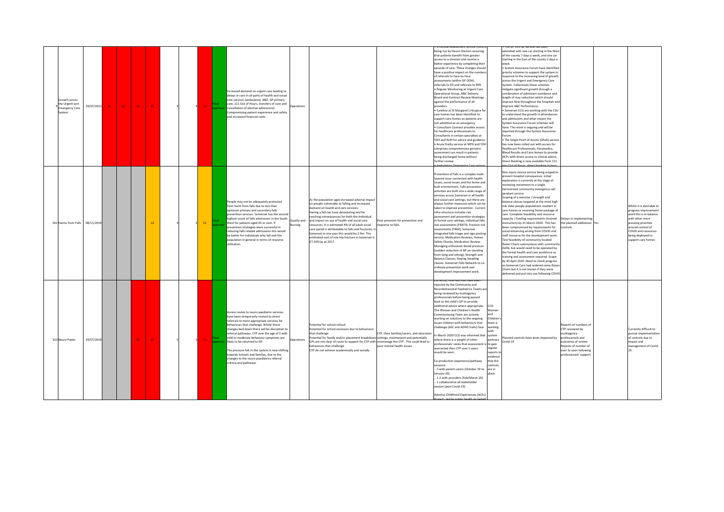|                                                                                  |              |                 |    |  |    |                                                                                                                                                                                                                                                                                                                                                                                                                                                                                                                                  |                        |                                                                                                                                                                                                                                                                                                                                                                                                                                                                                                                              |                                                                         |                                                                                                                                                                                                                                                                                                                                                                                                                                                                                                                                                                                                                                                                                                                                                                                                                                                                                                                                                                                                                 |                                                                                                                                                                 | ie of 999 car service has be                                                                                                                                                                                                                                                                                                                                                                                                                                                                                                                                                                                                                                                                                                                                                                                                                                                                                                                                                                                                                                                                                         |                                                                                                                                                                               |                                                                                                                                                                                                              |
|----------------------------------------------------------------------------------|--------------|-----------------|----|--|----|----------------------------------------------------------------------------------------------------------------------------------------------------------------------------------------------------------------------------------------------------------------------------------------------------------------------------------------------------------------------------------------------------------------------------------------------------------------------------------------------------------------------------------|------------------------|------------------------------------------------------------------------------------------------------------------------------------------------------------------------------------------------------------------------------------------------------------------------------------------------------------------------------------------------------------------------------------------------------------------------------------------------------------------------------------------------------------------------------|-------------------------------------------------------------------------|-----------------------------------------------------------------------------------------------------------------------------------------------------------------------------------------------------------------------------------------------------------------------------------------------------------------------------------------------------------------------------------------------------------------------------------------------------------------------------------------------------------------------------------------------------------------------------------------------------------------------------------------------------------------------------------------------------------------------------------------------------------------------------------------------------------------------------------------------------------------------------------------------------------------------------------------------------------------------------------------------------------------|-----------------------------------------------------------------------------------------------------------------------------------------------------------------|----------------------------------------------------------------------------------------------------------------------------------------------------------------------------------------------------------------------------------------------------------------------------------------------------------------------------------------------------------------------------------------------------------------------------------------------------------------------------------------------------------------------------------------------------------------------------------------------------------------------------------------------------------------------------------------------------------------------------------------------------------------------------------------------------------------------------------------------------------------------------------------------------------------------------------------------------------------------------------------------------------------------------------------------------------------------------------------------------------------------|-------------------------------------------------------------------------------------------------------------------------------------------------------------------------------|--------------------------------------------------------------------------------------------------------------------------------------------------------------------------------------------------------------|
| Growth across<br>the Urgent and<br>29/07/2013<br><b>Emergency Care</b><br>svstem | 16<br>$16-1$ | 16 <sub>1</sub> | 16 |  |    | Increased demand on urgent care leading to<br>delays in care in all parts of health and social<br>care services (ambulance, A&E, GP primary<br>care, 111 Out of Hours, transfers of care and<br>cancellation of elective admissions).<br>Compromising patient experience and safety<br>and increased financial costs.                                                                                                                                                                                                            | perations              |                                                                                                                                                                                                                                                                                                                                                                                                                                                                                                                              |                                                                         | being run by Devon Doctors ensuring<br>that patients benefit from greater<br>access to a clinician and receive a<br>better experience by completing their<br>episode of care. These changes should<br>have a positive impact on the number<br>of referrals to Face-to-Face<br>assessments (within GP OOH)<br>referrals to ED and referrals to 999.<br>. Regular Monitoring at Urgent Care<br>Operational Group, A&E Delivery<br><b>Board and Contract Review Meetings</b><br>against the performance of all<br>providers<br>· Careline at St Margaret's Hospice for<br>care homes has been identified to<br>support care homes so patients are<br>not admitted as an emergency<br>· Consultant Connect provides access<br>for healthcare professionals to<br>Consultants in certain specialties at<br>YDH and RUH for advice and guidance<br>Acute frailty service at MPH and YDH<br>comprises comprehensive geriatric<br>assessment can result in patients<br>being discharged home without<br>further review. |                                                                                                                                                                 | extended with one car starting in the West<br>of the county 7 days a week, and one car<br>starting in the East of the county 2 days a<br>week<br>System Assurance Forum have identified<br>priority schemes to support the system in<br>esponse to the increasing level of growth<br>across the Urgent and Emergency Care<br>System. Collectively these schemes<br>nitigate significant growth through a<br>combination of admission avoidance and<br>length of stay reduction which should<br>mprove flow throughout the hospitals and<br>mprove A&E Performance.<br>Somerset CCG are working with the CSU<br>to understand the growth in attendances<br>and admissions and what impact the<br>System Assurance Forum schemes will<br>have. This work is ongoing and will be<br>reported through the System Assurance<br>Forum<br>. The Single Point of Access (SPoA) service<br>has now been rolled out with access for<br>Healthcare Professionals, Paramedics,<br>Blood Results and Care Homes to provide<br>HCPs with direct access to clinical advice.<br>Direct Booking is now available from 111<br>$0 + at$ |                                                                                                                                                                               |                                                                                                                                                                                                              |
| 08/11/2019<br>361 Harms from Falls                                               |              |                 | 12 |  | 12 | People may not be adequately protected<br>from harm from falls due to less than<br>optimum primary and secondary falls<br>prevention services. Somerset has the second<br>highest count of falls admissions in the South<br>West for patients aged 65 or over. If<br>prevention strategies were successful in<br>reducing falls related admissions this would<br>be better for individuals who fall and the<br>population in general in terms of resource<br>utilisation.                                                        | Quality and<br>Nursing | As the population ages increased adverse impact<br>on people vulnerable to falling and increased<br>lemand on health and care services.<br>Having a fall can have devastating and far<br>eaching consequences for both the individual<br>and impact on use of health and social care<br>leinoz tlubs lls bo 20 betsmitze zi tl. zenunzen<br>are spend is attributable to falls and fractures, in<br>Somerset in one year this would be 2.9m. The<br>estimated cost of one hip fracture in Somerset is<br>£7.169 (as at 2017. | Poor provision for prevention and<br>response to falls.                 | Prevention of falls is a complex multi-<br>layered issue connected with health<br>issues, social issues and the home and<br>built environment. Falls prevention<br>activities are built into a wide range of<br>services across Somerset in all health<br>and social care settings, but there are<br>always further measures which can be<br>taken to improve prevention. Current<br>infra-structure includes risk<br>assessment and prevention strategies<br>in formal care settings; individual falls<br>risk assessments (FRATIS; fracture risk<br>assessments (FRAX); Somerset<br>Integrated falls triage and sign-posting<br>service; Medication Reviews; Homes<br>Safety Checks; Medication Review:<br>Managing orthostatic blood pressure<br>(sudden reduction of BP on standing<br>from lying and sitting); Strength and<br><b>Balance Classes; Staying Steading</b><br>classes. Somerset Falls Network to co-<br>ordinate prevention work and<br>development improvement work.                         |                                                                                                                                                                 | Ion-injury rescue service being scoped to<br>prevent hospital conveyances, Initial<br>exploration is currently at the stage of<br>reviewing movement to a single<br>armonised community emergency call<br>bendant service.<br>Scoping of a exercise / strength and<br>balance classes targeted at the most high<br>risk older people populations resident in<br>care homes or receiving home package of<br>care. Complete feasibility and resource<br>capacity / funding requirements (trained<br>nstructors) by 31 March 2020. This has<br>een compromised by requirements for<br>social distancing arising from COVID and<br>staff resource for the development work<br>Test feasibility of community located<br>Raizer Chairs synonymous with community<br>Defib, but would need to be operated by<br>the formal health and care workforce as<br>training and assessment required. Scope<br>by 30 April 2020. Need to check progress<br>as Somerset Care had ordered some Raize<br>Chairs but it is not known if they were<br>lelivered and put into use following COVID                                          | Delays in implementing<br>the planned additional Yes<br>ontrols.                                                                                                              | Whilst it is desirable to<br>progress improvement<br>work this is in balance<br>with other more<br>pressing priorities<br>around control of<br>COVID and resources<br>being deployed to<br>upport care homes |
| 323 Neuro Paeds<br>29/07/2019                                                    |              | 16              | 15 |  | 15 | Access routes to neuro paediatric services<br>have been temporarily revised to direct<br>referrals to more appropriate services for<br>behaviours that challenge. Whilst these<br>changes bed down there will be disruption to<br>referral pathways. CYP over the age of 5 with<br>mild to moderate behaviour symptoms are<br>likely to be returned to GP.<br>The pressure felt in the system is now shifting<br>towards Schools and families, due to the<br>changes to the neuro paediatrics referral<br>criteria and pathways. | Operations             | Potential for school refusal<br>otential for school exclusion due to behaviours<br>that challenge<br>otential for family and/or placement breakdown settings, misinterpret and potentially<br>GPs are not clear of route to support for CYP with mismanage the CYP. This could lead to<br>behaviours that challenge<br>CYP do not achieve academically and socially                                                                                                                                                          | CYP, their families/carers, and education<br>poor mental health issues. | menuv, referrais unaunave pe<br>rejected by the Community and<br>Neurobehavioral Paediatrics Teams are<br>being reviewed by multiagency<br>professionals before being passed<br>back to the child's GP to provide<br>additional advice where appropriate.<br>The Woman and Children's Health<br>ommissioning Team are actively<br>working on solutions to the ongoing<br>issues children with behaviours that<br>challenge (ASC and ADHD traits) face.<br>n March 2020 CCG was informed that<br>where there is a weight of other<br>professionals' views that assessment is to gain<br>warranted then CYP over 5 years<br>would be seen.<br>Co-production experience/pathway<br>sessions:<br>3 with parent carers (October 19 to<br>January 201<br>- 1-2 with providers (Feb/March 20)<br>- 1 collaborative all stakeholder<br>session (post Covid-19)<br>Adverse Childhood Experiences (ACEs)<br>Jod by oublie by                                                                                              | CCG<br>Womer<br>Children <sup>®</sup><br>team is<br>working<br>system<br>partners<br>regular<br>reports t<br>evidence<br>that the<br>ontrols<br>are in<br>alace | anned controls have been impacted by<br>Covid-19                                                                                                                                                                                                                                                                                                                                                                                                                                                                                                                                                                                                                                                                                                                                                                                                                                                                                                                                                                                                                                                                     | Reports of numbers of<br>CYP reviewed by<br>nultiagency<br>professionals and<br>utcomes of review<br>Reports of number of<br>over 5s seen following<br>professionals' support | currently difficult to<br>pursue implementatio<br>of controls due to<br>impact and<br>management of Covid-                                                                                                   |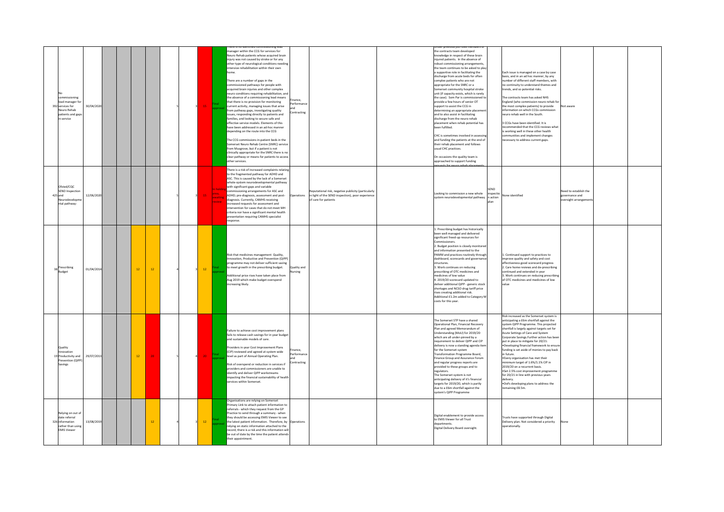| commissioning<br>lead manager for<br>30/04/2020<br>392 services for<br>Neuro Rehab<br>patients and gaps<br>in service | manager within the CCG for services for<br>Neuro Rehab patients whose acquired brain<br>iniury was not caused by stroke or for any<br>other type of neurological conditions needing<br>intensive rehabilitation within their own<br>home.<br>There are a number of gaps in the<br>commissioned pathways for people with<br>acquired brain injuries and other complex<br>neuro conditions requiring rehabilitation, and<br>the absence of a commissioning lead means<br>Finance.<br>that there is no provision for monitoring<br>rformance<br>15 <sub>1</sub><br>current activity, managing issues that arise<br>from pathway gaps, investigating quality<br>Contracting<br>issues, responding directly to patients and<br>families, and looking to secure safe and<br>effective service models. Elements of this<br>have been addressed in an ad-hoc manner<br>depending on the route into the CCG<br>The CCG commissions in-patient beds in the<br>Somerset Neuro Rehab Centre (SNRC) service<br>from Musgrove, but if a patient is not<br>clinically appropriate for the SNRC there is no<br>clear pathway or means for patients to access<br>other services. | the contracts team developed<br>nowledge in respect of these brain<br>injured patients. In the absence of<br>robust commissioning arrangements<br>the team continues to be asked to play<br>a supportive role in facilitating the<br>Each issue is managed on a case by case<br>discharge from acute beds for often<br>basis, and in an ad hoc manner, by any<br>number of different staff members, with<br>complex patients who are not<br>no continuity to understand themes and<br>appropriate for the SNRC or a<br>Somerset community hospital stroke<br>rends, and so potential risks.<br>unit (if capacity exists, which is rarely<br>the case). Som Par is commissioned to<br>The contracts team has asked NHS<br>England (who commission neuro rehab for<br>provide a few hours of senior OT<br>the most complex patients) to provide<br>support to assist the CCG in<br>Not aware<br>information on which CCGs commission<br>determining an appropriate placemen<br>and to also assist in facilitating<br>neuro rehab well in the South.<br>discharge from the neuro rehab<br>placement when rehab potential has<br>3 CCGs have been identified. It is<br>commended that the CCG reviews what<br>been fulfilled.<br>working well in these other health<br>nmunities and implement changes<br>CHC is sometimes involved in assessin<br>and funding the patients at the end of<br>ecessary to address current gaps.<br>their rehab placement and follows<br>usual CHC practices.<br>On occasions the quality team is<br>approached to support funding |
|-----------------------------------------------------------------------------------------------------------------------|-----------------------------------------------------------------------------------------------------------------------------------------------------------------------------------------------------------------------------------------------------------------------------------------------------------------------------------------------------------------------------------------------------------------------------------------------------------------------------------------------------------------------------------------------------------------------------------------------------------------------------------------------------------------------------------------------------------------------------------------------------------------------------------------------------------------------------------------------------------------------------------------------------------------------------------------------------------------------------------------------------------------------------------------------------------------------------------------------------------------------------------------------------------------|--------------------------------------------------------------------------------------------------------------------------------------------------------------------------------------------------------------------------------------------------------------------------------------------------------------------------------------------------------------------------------------------------------------------------------------------------------------------------------------------------------------------------------------------------------------------------------------------------------------------------------------------------------------------------------------------------------------------------------------------------------------------------------------------------------------------------------------------------------------------------------------------------------------------------------------------------------------------------------------------------------------------------------------------------------------------------------------------------------------------------------------------------------------------------------------------------------------------------------------------------------------------------------------------------------------------------------------------------------------------------------------------------------------------------------------------------------------------------------------------------------------------------------------------------------------|
| Ofsted/COC<br><b>SEND Inspectio</b><br>12/06/2020<br>425 and<br>Neurodevelopm<br>ntal pathway:                        | There is a risk of increased complaints relating<br>to the fragmented pathway for ADHD and<br>ASC. This is caused by the lack of a Somerset<br>whole-system neurodevelopmental pathway<br>with significant gaps and variable<br>commissioning arrangements for ASC and<br>Reputational risk, negative publicity (particularly<br>area.<br>ADHD; pre-diagnosis, assessment and post-<br>in light of the SEND inspection), poor experience<br>Operations<br>awaiting<br>diagnosis. Currently, CAMHS receiving<br>of care for patients<br>eview<br>increased requests for assessment and<br>intervention for cases that do not meet MH<br>criteria nor have a significant mental health<br>presentation requiring CAMHS specialist<br>esponse.                                                                                                                                                                                                                                                                                                                                                                                                                     | Need to establish the<br>Looking to commission a new whole<br>inspectic<br>lone identified<br>governance and<br>system neurodevelopmental pathway<br>n action<br>versight arrangem                                                                                                                                                                                                                                                                                                                                                                                                                                                                                                                                                                                                                                                                                                                                                                                                                                                                                                                                                                                                                                                                                                                                                                                                                                                                                                                                                                           |
| Prescribing<br>01/04/2014<br><b>12</b><br>12<br>Budget                                                                | Risk that medicines management Quality.<br>Innovation, Productive and Prevention (QIPP)<br>programme may not deliver sufficient saving<br>to meet growth in the prescribing budget.<br>Quality and<br>12<br>rsing<br>Additional price rises have taken place from<br>Aug 2019 which make budget overspend<br>increasing likely.                                                                                                                                                                                                                                                                                                                                                                                                                                                                                                                                                                                                                                                                                                                                                                                                                                 | . Prescribing budget has historically<br>been well managed and delivered<br>significant freed-up resources for<br>ommissioners.<br>2. Budget position is closely monitored<br>and information presented to the<br>PAMM and practices routinely through<br>1. Continued support to practices to<br>dashboard, scorecards and governance<br>improve quality and safety and cost<br>structures.<br>effectiveness good scorecard progress<br>3. Work continues on reducing<br>2. Care home reviews and de-prescribing<br>prescribing of OTC medicines and<br>ontinued and extended in year<br>medicines of low value<br>Work continues on reducing prescribing<br>4. 2019/20 scorecard updated to<br>of OTC medicines and medicines of low<br>deliver additional QIPP - generic stock<br>alue<br>shortages and NCSO drug tariff price<br>rises creating additional risk.<br>Additional £1.2m added to Category M<br>costs for this year.                                                                                                                                                                                                                                                                                                                                                                                                                                                                                                                                                                                                                         |
| Quality<br>novation<br>29/07/2013<br>$12-12$<br>20<br>19 Productivity and<br>Prevention (QIPP)<br>Savings             | Failure to achieve cost improvement plans<br>fails to release cash savings for in year budget<br>and sustainable models of care.<br>Providers in year Cost Improvement Plans<br>nance.<br>(CIP) reviewed and agreed at system wide<br>Performanci<br>20 <sup>°</sup><br>level as part of Annual Operating Plan.<br>ontracting<br>Risk of overspend or reduction in services if<br>providers and commissioners are unable to<br>identify and deliver QIPP workstreams<br>impacting the financial sustainability of health<br>services within Somerset.                                                                                                                                                                                                                                                                                                                                                                                                                                                                                                                                                                                                           | Risk increased as the Somerset system is<br>The Somerset STP have a shared<br>anticipating a £6m shortfall against the<br>Operational Plan, Financial Recovery<br>system QIPP Programme. This projected<br>Plan and agreed Memorandum of<br>shortfall is largely against targets set for<br>Understanding (MoU) for 2019/20<br>Acute Settings of Care and System<br>Corporate Savings. Further action has been<br>which are all under-pinned by a<br>requirement to deliver QIPP and CIP<br>put in place to mitigate for 20/21:<br>delivery is now a standing agenda item<br>. Developing financial framework to ensur<br>unding is set aside of monies to pay back<br>for the Somerset system<br>Transformation Programme Board.<br>in future.<br>Finance Group and Assurance Forum<br>. Every organisation has met their<br>and regular progress reports are<br>inimum target of 1.6%/1.1% CIP in<br>provided to these groups and to<br>2019/20 on a recurrent basis.<br>.Set 2.5% cost improvement programme<br>regulators.<br>The Somerset system is not<br>for 20/21 in line with previous years<br>anticipating delivery of it's financial<br>elivery.<br>targets for 2019/20, which is partly<br>.DoFs developing plans to address the<br>due to a £6m shortfall against the<br>emaining £8.5m.<br>system's QIPP Programme                                                                                                                                                                                                                            |
| Relying on out of<br>date referral<br>326 information<br>13/08/2019<br>12<br>rather than using<br><b>EMIS Viewer</b>  | Organisations are relying on Somerset<br>Primary Link to attach patient information to<br>referrals - which they request from the GP<br>Practice to send through a summary - when<br>they should be accessing EMIS Viewer to see<br>$12-12$<br>the latest patient information. Therefore, by Operations<br>relving on static information attached to the<br>record, there is a risk and this information will<br>be out of date by the time the patient attends<br>their appointment.                                                                                                                                                                                                                                                                                                                                                                                                                                                                                                                                                                                                                                                                           | Digital enablement to provide access<br>Trusts have supported through Digital<br>to EMIS Viewer for all Trust<br>Delivery plan. Not considered a priority<br>lepartments<br>perationally.<br>Digital Delivery Board oversight.                                                                                                                                                                                                                                                                                                                                                                                                                                                                                                                                                                                                                                                                                                                                                                                                                                                                                                                                                                                                                                                                                                                                                                                                                                                                                                                               |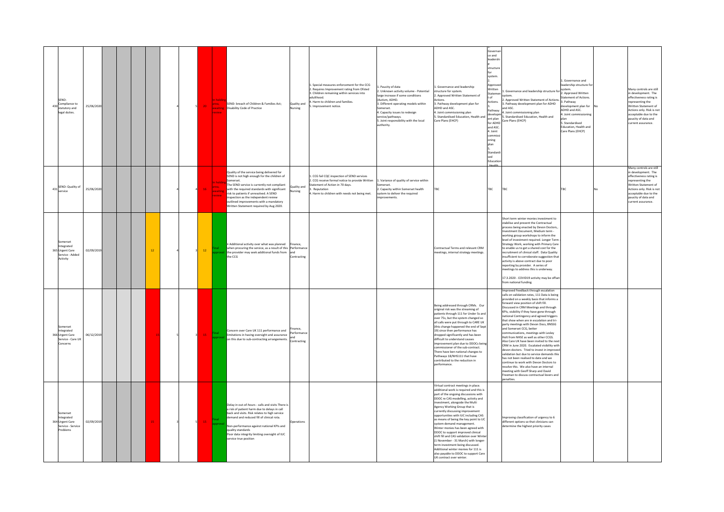| SEND-<br>430 Compliance to<br>statutory and<br>25/06/202<br>legal duties.                     |    |                         | area.<br>lawaitin<br>review     | SEND- breach of Children & Families Act;<br>Quality and<br><b>Disability Code of Practice</b><br>Vursing                                                                                                                                                                                                                                                                                               | . Special measures enforcement for the CCG<br>2. Requires Improvement rating from Ofsted<br>3. Children remaining within services into<br>hoodtlubs<br>I. Harm to children and families.<br>Improvement notice | Paucity of data<br>2. Unknown activity volume - Potential<br>large increase if some conditions<br>(Autism, ADHD,<br>3. Different operating models within<br>Somerset.<br>4. Capacity issues to redesign<br>service/pathways.<br>5. Joint responsibility with the local<br>authority. | Governa<br>ce and<br>leadersh<br>structure<br>system<br>Approv<br>. Governance and leadership<br>Writter<br>structure for system.<br>Statem<br>. Approved Written Statement of<br>n#<br>ctions.<br>Actions.<br>. Pathway development plan for<br>ADHD and ASC.<br>athway<br>. Joint commissioning plan<br>develop<br>Standardised Education, Health and<br>ent plan<br>Care Plans (EHCP)<br>for ADHD<br>and ASC<br>4. Joint<br>commis:<br>oning<br>plan<br>Standard<br>sed<br>Educatio                                                                                                                                                                                                         | Governance and leadership structure for<br>. Approved Written Statement of Actions.<br>. Pathway development plan for ADHD<br>and ASC.<br>Joint commissioning plan<br>Standardised Education, Health and<br>Care Plans (EHCP)                                                                                                                                                                                                                                                                                                                                                                                                                                                                                                                                                                                                                                                                                                 | . Governance and<br>leadership structure for<br>system.<br>2. Approved Written<br><b>Statement of Actions</b><br>3. Pathway<br>evelopment plan for<br>ADHD and ASC.<br>. Joint commissio<br>5. Standardised<br>Education, Health and<br>Care Plans (EHCP) | Many controls are still<br>in development. The<br>effectiveness rating is<br>representing the<br>Written Statement of<br>Actions only. Risk is not<br>acceptable due to the<br>paucity of data and<br>current assurance. |
|-----------------------------------------------------------------------------------------------|----|-------------------------|---------------------------------|--------------------------------------------------------------------------------------------------------------------------------------------------------------------------------------------------------------------------------------------------------------------------------------------------------------------------------------------------------------------------------------------------------|----------------------------------------------------------------------------------------------------------------------------------------------------------------------------------------------------------------|--------------------------------------------------------------------------------------------------------------------------------------------------------------------------------------------------------------------------------------------------------------------------------------|------------------------------------------------------------------------------------------------------------------------------------------------------------------------------------------------------------------------------------------------------------------------------------------------------------------------------------------------------------------------------------------------------------------------------------------------------------------------------------------------------------------------------------------------------------------------------------------------------------------------------------------------------------------------------------------------|-------------------------------------------------------------------------------------------------------------------------------------------------------------------------------------------------------------------------------------------------------------------------------------------------------------------------------------------------------------------------------------------------------------------------------------------------------------------------------------------------------------------------------------------------------------------------------------------------------------------------------------------------------------------------------------------------------------------------------------------------------------------------------------------------------------------------------------------------------------------------------------------------------------------------------|-----------------------------------------------------------------------------------------------------------------------------------------------------------------------------------------------------------------------------------------------------------|--------------------------------------------------------------------------------------------------------------------------------------------------------------------------------------------------------------------------|
| 431 SEND: Quality of<br>25/06/2020<br>ervice                                                  |    |                         | irea.<br>16<br>awaitir<br>eview | Quality of the service being delivered for<br>SEND is not high enough for the children of<br>Somerset.<br>The SEND service is currently not compliant<br>Quality and<br>with the required standards with significant<br>Vursing<br>risk to natients if unresolved. A SEND<br>inspection as the independent review<br>outlined improvements with a mandatory<br>Written Statement required by Aug 2020. | CCG fail COC inspection of SEND services<br>2. CCG receive formal notice to provide Written<br>Statement of Action in 70 days.<br>Reputation<br>I. Harm to children with needs not being met.                  | 1. Variance of quality of service within<br>omerset.<br>2. Capacity within Somerset health<br>system to deliver the required<br>provements                                                                                                                                           | TRC<br>TRC                                                                                                                                                                                                                                                                                                                                                                                                                                                                                                                                                                                                                                                                                     | TRC                                                                                                                                                                                                                                                                                                                                                                                                                                                                                                                                                                                                                                                                                                                                                                                                                                                                                                                           | <b>TRC</b>                                                                                                                                                                                                                                                | Many controls are still<br>in development. The<br>effectiveness rating is<br>representing the<br>Written Statement of<br>Actions only. Risk is not<br>acceptable due to the<br>paucity of data and<br>current assurance. |
| <b>Comerset</b><br>Integrated<br>02/09/2019<br>365 Urgent Care<br>Service - Added<br>Activity | 12 |                         | $12$                            | Additional activity over what was planned<br>Finance,<br>when procuring the service, as a result of this Performance<br>the provider may seek additional funds from<br>the CCG<br>Contracting                                                                                                                                                                                                          |                                                                                                                                                                                                                |                                                                                                                                                                                                                                                                                      | Contractual Terms and relevant CRM<br>neetings, internal strategy meetings.                                                                                                                                                                                                                                                                                                                                                                                                                                                                                                                                                                                                                    | Short term winter monies investment to<br>tabilise and prevent the Contractual<br>process being enacted by Devon Doctors,<br>vestment Document, Medium term -<br>working group workshops to inform the<br>vel of investment required. Longer Term<br>Strategy Work, working with Primary Care<br>to enable us to get a shared cost for the<br>recruitment of clinical staff. Data Quality<br>sufficient to corroborate suggestion that<br>activity is above contract due to poor<br>eporting by provider. A series of<br>eetings to address this is underway.<br>17.3.2020 - COVID19 activity may be offset<br>from national funding.                                                                                                                                                                                                                                                                                         |                                                                                                                                                                                                                                                           |                                                                                                                                                                                                                          |
| nmerset<br>Integrated<br>06/12/2019<br>366 Urgent Care<br>Service - Care UK<br>Concerns       |    | $\overline{\mathbf{3}}$ | $-15$                           | nance,<br>Concern over Care UK 111 performance and<br>Performance<br>limitations in having oversight and assurance<br>on this due to sub-contracting arrangements.<br>Contracting                                                                                                                                                                                                                      |                                                                                                                                                                                                                |                                                                                                                                                                                                                                                                                      | Being addressed through CRMs. Our<br>original risk was the streaming of<br>patients through 111 for Under 5s and<br>over 75s, but the system changed so<br>all calls were put through to CARE UK<br>(this change happened the end of Sept<br>19) since then performance has<br>dropped significantly and has been<br>difficult to understand causes<br>improvement plan due to DDOCs bein<br>ommissioner of the sub-contract.<br>There have ben national changes to<br>athways 18/NHS111 that have<br>ontributed to the reduction in<br>erformance.                                                                                                                                            | moroved Feedback through escalation<br>calls on validation rates. 111 Data is being<br>provided on a weekly basis that informs a<br>forward view position of shift fill.<br>Discussed in CRM Meetings and through<br>KPIs, visibility if they have gone through<br>ational Contingency and agreed triggers<br>that show when are in escalation and tri-<br>party meetings with Devon Docs, BNSSG<br>Ind Somerset CCG, better<br>ommunications, meetings with Lesley<br>Holt from NHSE as well as other CCGS.<br>Also Care UK have been invited to the next<br>CRM in June 2020. Escalated visibility with<br>devon doctors. Tried to invest in improved<br>alidation but due to service demands this<br>has not been realised to date and we<br>ontinue to work with Devon Doctors to<br>esolve this. We also have an internal<br>neeting with Geoff Sharp and David<br>reeman to discuss contractual levers and<br>enalties. |                                                                                                                                                                                                                                                           |                                                                                                                                                                                                                          |
| merse<br>ntegrated<br>02/09/2019<br>364 Urgent Care<br>Service - Service<br>Problems          |    |                         | 15                              | Delay in out-of-hours - calls and visits There is<br>a risk of patient harm due to delays in call<br>back and visits. Risk relates to high service<br>demand and reduced fill of clinical rota.<br>Operations<br>Non-performance against national KPIs and<br>quality standards<br>Poor data integrity limiting oversight of IUC<br>service true position                                              |                                                                                                                                                                                                                |                                                                                                                                                                                                                                                                                      | Virtual contract meetings in place.<br>additional work is required and this is<br>part of the ongoing discussions with<br>DDOC re CAS modelling, activity and<br>nvestment, alongside the Multi<br>Agency Working Group that is<br>currently discussing improvement<br>opportunities with IUC including CAS<br>as means of being the key point to UC<br>system demand management.<br>Winter monies has been agreed with<br>DDOC to support improved clinical<br>shift fill and CAS validation over Winte<br>(1 November - 31 March) with longer-<br>erm investment being discussed.<br>Additional winter monies for 111 is<br>also payable to DDOC to support Care<br>UK contract over winter. | nproving classification of urgency to 6<br>different options so that clinicians can<br>termine the highest priority cases                                                                                                                                                                                                                                                                                                                                                                                                                                                                                                                                                                                                                                                                                                                                                                                                     |                                                                                                                                                                                                                                                           |                                                                                                                                                                                                                          |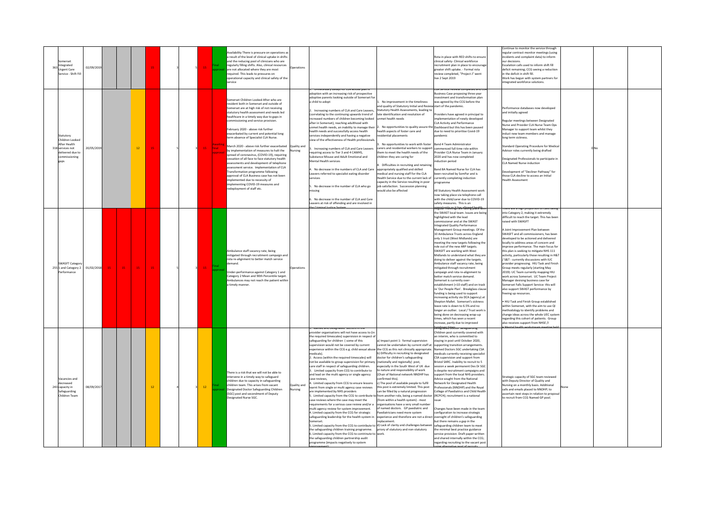| omerset<br>Integrated<br><b>Jrgent Care</b><br>Service - Shift Fill                                           | 02/09/2019 |          |                 |    |  |                 |                  | railability There is pressure on operations as<br>result of the level of clinical uptake in shifts<br>and the reducing pool of clinicians who are<br>regularly filling shifts. Also, clinical resources<br>are not allocated where they are most<br>equired. This leads to pressures on<br>perational capacity and clinical safety of the<br><b>rvice</b>                                                                                                                                                                                                                                                                                                                                                                                                                                                                                                                                  | Operations             |                                                                                                                                                                                                                                                                                                                                                                                                                                                                                                                                                                                                                                                                                                                                                                                                                                                                                                                                                                                                                                                                                                                                                                                                                                                                                                                                                                                                                                                                                                                                                                                                                                                                                                                                                                                                                                                                                                                                                                                                                                                                                                                                                                               | Rota in place with RED shifts to ensure<br>clinical safety- Clinical workforce<br>recruitment plan in place to encourage<br>reater shift uptake. - Formal rota<br>eview completed, "Project J" went<br>live 2 Sept 2019                                                                                                                                                                                                                                                                                                                                                                                                                                                                                                                                                                                                                                                                                                                                                                                                                                                       | ontinue to monitor the service through<br>egular contract monitor meetings (using<br>incidents and complaint data) to inform<br>our decisions<br>Escalation calls used to inform shift fill<br>deficit remaining; CCG seeing a reduction<br>n the deficit in shift fill.<br>Work has begun with system partners for<br>tegrated workforce solutions.                                                                                                                                                                                                                                                                                                                                                                                                                                                                                                                                                                                                                                                                                                                           |  |  |
|---------------------------------------------------------------------------------------------------------------|------------|----------|-----------------|----|--|-----------------|------------------|--------------------------------------------------------------------------------------------------------------------------------------------------------------------------------------------------------------------------------------------------------------------------------------------------------------------------------------------------------------------------------------------------------------------------------------------------------------------------------------------------------------------------------------------------------------------------------------------------------------------------------------------------------------------------------------------------------------------------------------------------------------------------------------------------------------------------------------------------------------------------------------------|------------------------|-------------------------------------------------------------------------------------------------------------------------------------------------------------------------------------------------------------------------------------------------------------------------------------------------------------------------------------------------------------------------------------------------------------------------------------------------------------------------------------------------------------------------------------------------------------------------------------------------------------------------------------------------------------------------------------------------------------------------------------------------------------------------------------------------------------------------------------------------------------------------------------------------------------------------------------------------------------------------------------------------------------------------------------------------------------------------------------------------------------------------------------------------------------------------------------------------------------------------------------------------------------------------------------------------------------------------------------------------------------------------------------------------------------------------------------------------------------------------------------------------------------------------------------------------------------------------------------------------------------------------------------------------------------------------------------------------------------------------------------------------------------------------------------------------------------------------------------------------------------------------------------------------------------------------------------------------------------------------------------------------------------------------------------------------------------------------------------------------------------------------------------------------------------------------------|-------------------------------------------------------------------------------------------------------------------------------------------------------------------------------------------------------------------------------------------------------------------------------------------------------------------------------------------------------------------------------------------------------------------------------------------------------------------------------------------------------------------------------------------------------------------------------------------------------------------------------------------------------------------------------------------------------------------------------------------------------------------------------------------------------------------------------------------------------------------------------------------------------------------------------------------------------------------------------------------------------------------------------------------------------------------------------|--------------------------------------------------------------------------------------------------------------------------------------------------------------------------------------------------------------------------------------------------------------------------------------------------------------------------------------------------------------------------------------------------------------------------------------------------------------------------------------------------------------------------------------------------------------------------------------------------------------------------------------------------------------------------------------------------------------------------------------------------------------------------------------------------------------------------------------------------------------------------------------------------------------------------------------------------------------------------------------------------------------------------------------------------------------------------------|--|--|
| Statutory<br>Children Looked<br>After Health<br>318 services not<br>delivered due to<br>commissioning<br>gans | 20/05/2019 |          | $12\,$          |    |  | 15              | final<br>annroya | Somerset Children Looked After who are<br>resident both in Somerset and outside of<br>Somerset are at high risk of not receiving<br>statutory health assessment and needs led<br>healthcare in a timely way due to gaps in<br>commissioning and service provision.<br>February 2020 - above risk further<br>exacerbated by current and potential long<br>erm absence of Specialist CLA Nurse.<br>March 2020 - above risk further exacerbated Quality and<br>by implementation of measures to halt the<br>spread of coronavirus, (COVID-19), requiring<br>cessation of all face to face statutory health<br>assessments and development of telephone<br>assessment service. Implementation of CLA<br>Transformation programme following<br>approval of CLA Business case has not been<br>implemented due to necessity of<br>implementing COVID-19 measures and<br>edeployment of staff etc. | Nursing                | Officerssary detays for CLA Whose plan t<br>adoption with an increasing risk of prospective<br>adoptive parents looking outside of Somerset fo<br>No improvement in the timeliness<br>child to adopt<br>and quality of Statutory Initial and Revie<br>Increasing numbers of CLA and Care Leavers,<br>Statutory Health Assessments, leading to<br>late identification and resolution of<br>correlating to the continuing upwards trend of<br>ncreased numbers of children becoming looked<br>unmet health needs<br>after in Somerset), reaching adulthood with<br>unmet health needs, an inability to manage their 2. No opportunities to quality assure the Dashboard but this has been paused<br>health needs and successfully access health<br>health aspects of foster care and<br>ervices independently and having a negative<br>residential placements<br>ew of the effectiveness of Health professional<br>No opportunities to work with foster<br>Increasing numbers of CLA and Care Leavers<br>carers and residential workers to support<br>equiring access to Tier 3 and 4 CAMHS,<br>them to meet the health needs of the<br>Substance Misuse and Adult Emotional and<br>children they are caring for<br>Mental Health services<br>Difficulties in recruiting and retaining<br>No decrease in the numbers of CLA and Care<br>appropriately qualified and skilled<br>eavers referred to specialist eating disorder<br>medical and nursing staff for the CLA<br>Health Service due to the current lack of<br>services<br>capacity in the Service resulting in poor<br>No decrease in the number of CLA who go<br>job satisfaction. Succession planning<br>would also be affected<br>nissing<br>No decrease in the number of CLA and Care<br>eavers at risk of offending and are involved in                                                                                                                                                                                                                                                                                                                                                                            | LA Service Review comp<br>susiness Case proposing three year<br>vestment and transformation plan<br>was agreed by the CCG before the<br>start of the pandemic.<br>roviders have agreed in principal to<br>implementation of newly developed<br>LA Activity and Performance<br>due to need to prioritise Covid-19<br><b>Band 4 Team Administrator</b><br>commenced full time role within<br>rovider CLA Nurse Team in January<br>2020 and has now completed<br>duction period<br>and 8A Named Nurse for CLA has<br>een recruited by SomPar and is<br>currently completing induction<br>programme<br><b>Ill Statutory Health Assessment work</b><br>now taking place via telephone call<br>with the child/carer due to COVID-19<br>safety measures. This is an                                                                                                                                                                                                                                                                                                                  | Performance databases now developed<br>and initially agreed<br>Regular meetings between Designated<br><b>Nurse and Provider CLA Nurse Team Ops</b><br>Manager to support team whilst they<br>duct new team members and manage<br>ong term sickness.<br>Standard Operating Procedure for Medical<br>Advisor roles currently being drafted<br>Designated Professionals to participate in<br>LA Named Nurse induction<br>Development of "Decliner Pathway" for<br>those CLA decline to access an Initial<br>lealth Assessment                                                                                                                                                                                                                                                                                                                                                                                                                                                                                                                                                     |  |  |
| <b>SWASFT Category</b><br>255 1 and Category 2<br>Performance                                                 | 01/02/2018 | 15<br>15 | 15 <sub>1</sub> | 15 |  | 15              |                  | Ambulance staff vacancy rate, being<br>mitigated through recruitment campaign and<br>rota re-alignment to better match service<br>lemand.<br><b>Jnder-performance against Category 1 and</b><br>Category 2 Mean and 90th Percentile target<br>Ambulances may not reach the natient withi<br>a timely manner                                                                                                                                                                                                                                                                                                                                                                                                                                                                                                                                                                                | erations               |                                                                                                                                                                                                                                                                                                                                                                                                                                                                                                                                                                                                                                                                                                                                                                                                                                                                                                                                                                                                                                                                                                                                                                                                                                                                                                                                                                                                                                                                                                                                                                                                                                                                                                                                                                                                                                                                                                                                                                                                                                                                                                                                                                               | regorar miteorinia hare daxing blace ton<br>the SWAST local team. Issues are being<br>highlighted with the lead<br>ommissioner and at the SWAST<br>Integrated Quality Performance<br>Management Group meetings. Of the<br>10 Ambulance Trusts across England<br>only 1 trust (West Midlands) are<br>neeting the new targets following the<br>role out of the new ARP targets.<br>SWASFT are working with West<br>Midlands to understand what they are<br>doing to deliver against the targets.<br>mbulance staff vacancy rate, being<br>mitigated through recruitment<br>campaign and rota re-alignment to<br>better match service demand.<br>Somerset is currently over-<br>establishment (+10 staff) and on track<br>re 'Our People Plan'. Breakglass claus<br>funding is being used to support<br>increasing activity via DCA (agency) at<br>Shepton Mallet, Somerset's sickness<br>leave rate is down to 6.5% and no<br>longer an outlier. Local / Trust work is<br>being done on decreasing wrap-up<br>imes, which has seen a recent<br>increase, partly due to improved | ere are a nigh proportion of calls fa<br>into Category 2, making it extremely<br>ifficult to reach the target. This has been<br>aised with SWASFT<br>A Joint Improvement Plan between<br>SWASFT and all commissioners, has been<br>veloped to be actioned and delivered<br>locally to address areas of concern and<br>norove performance. The main focus for<br>this plan is seeking to mitigate NHS 111<br>activity, particularly those resulting in H&T<br>/ S&T - currently discussions with IUC<br>provider progressing. HIU Task and Finish<br>iroup meets regularly (starting May<br>2019): UC Team currently mapping HIU<br>work across Somerset. UC Team Project<br>Manager devising business case for<br>omerset Falls Support Service: this will<br>also support SWAST performance by<br>eeing up resources.<br>HIU Task and Finish Group established<br>vithin Somerset, with the aim to use QI<br>ethodology to identify problems and<br>change ideas across the whole UEC syster<br>egarding this cohort of patients. Group<br>also receives support from NHSE /I |  |  |
| <b>Jacancies</b> and<br>decreased<br>243 capacity in<br>Safeguarding<br>Children Team                         | 08/09/2017 |          |                 | 12 |  | 12 <sup>7</sup> |                  | here is a risk that we will not be able to<br>intervene in a timely way to safeguard<br>hildren due to capacity in safeguarding<br>children team. This arises from vacant<br>Designated Doctor Safeguarding Children<br>(SGC) post and secondment of Deputy<br>Designated Nurse SGC.                                                                                                                                                                                                                                                                                                                                                                                                                                                                                                                                                                                                       | Quality and<br>Nursing | vamed and Designated doctors in the<br>provider organisations will not have access to (in<br>the required timescales) supervision in respect of<br>safeguarding for children (some of this<br>a) Impact point 1: formal supervision<br>cannot be undertaken by current staff at<br>supervision would not be covered by current<br>experience within the CCG e.g. child sexual abuse the CCG as this not clinically appropriate. Named Doctors SGC undertaking CSA<br>b) Difficulty in recruiting to designated<br>nedicals).<br>2. Access (within the required timescales) will<br>doctor for children's safeguarding<br>not be available to group supervision for primary<br>(nationally and regionally) post,<br>especially in the South West of UK due<br>care staff in respect of safeguarding children.<br>. Limited capacity from CCG to contribute to<br>to nature and responsibility of work<br>and lead on the multi agency or single agency<br>(Chair of National network NNDHP has<br>case reviews.<br>Infirmed this)<br>Limited capacity from CCG to ensure lessons<br>c) The pool of available people to fulfil<br>this post is extremely limited. This post<br>learnt from single or multi agency case reviews<br>are implemented by NHS providers<br>can be filled by a natural progression<br>5. Limited capacity from the CCG to contribute to from another role, being a named doctor<br>(from within a health system) - most<br>case reviews where the case may meet the<br>requirements for a serious case review and/or a<br>organisations have a very small number<br>multi agency review for system improvement.<br>of named doctors. GP paediatric and<br>4. Limited capacity from the CCG for strategic<br>aediatricians need more system<br>safeguarding leadership for the health system in<br>Somerset.<br>5. Limited capacity from the CCG to contribute to d) Lack of clarity and challenges between<br>the safeguarding children training programme. priory of statutory and non-statutory<br>6. Limited capacity from the CCG to contrinute to work.<br>the safeguarding children partnership audit<br>rogramme (impacts negatively to system | signated Doctor sareguaruing<br>Children post currently covered with<br>n interim, who is committed to<br>staving in post until October 2020.<br>supporting transition arrangements.<br>nedicals currently receiving specialist<br>CSA supervision and support from<br>ristol SARC. Inability to recruit to 5<br>session a week permanent Des Dr SGO<br>despite recruitment campaigns and<br>upport from the local NHS providers.<br>dvice sought from the National<br>etwork for Designated Health<br>rofessionals (NNDHP) and the Royal<br>College of Paediatrics and Child Health<br>(RCPCH): recruitment is a national<br>Changes have been made in the team<br>onfiguration to increase strategic<br>experience and therefore are not a direct oversight of children's safeguarding<br>but there remains a gap in the<br>safeguarding children team to meet<br>the minimal hest practice guidance<br>ervice provision. Draft paper written<br>and shared internally within the CCG:<br>regarding recruiting to the vacant post<br>nool of                                | Strategic capacity of SGC team reviewed<br>vith Deputy Director of Quality and<br>Nursing on a monthly basis. Additional<br>calls and emails placed to NNDHP: to<br>ascertain next steps in relation to propo<br>to recruit from CCG Named GP pool.                                                                                                                                                                                                                                                                                                                                                                                                                                                                                                                                                                                                                                                                                                                                                                                                                            |  |  |